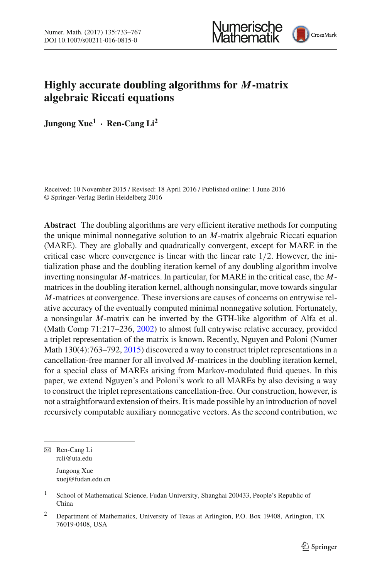



# **Highly accurate doubling algorithms for** *M***-matrix algebraic Riccati equations**

**Jungong Xue1 · Ren-Cang Li<sup>2</sup>**

Received: 10 November 2015 / Revised: 18 April 2016 / Published online: 1 June 2016 © Springer-Verlag Berlin Heidelberg 2016

**Abstract** The doubling algorithms are very efficient iterative methods for computing the unique minimal nonnegative solution to an *M*-matrix algebraic Riccati equation (MARE). They are globally and quadratically convergent, except for MARE in the critical case where convergence is linear with the linear rate 1/2. However, the initialization phase and the doubling iteration kernel of any doubling algorithm involve inverting nonsingular *M*-matrices. In particular, for MARE in the critical case, the *M*matrices in the doubling iteration kernel, although nonsingular, move towards singular *M*-matrices at convergence. These inversions are causes of concerns on entrywise relative accuracy of the eventually computed minimal nonnegative solution. Fortunately, a nonsingular *M*-matrix can be inverted by the GTH-like algorithm of Alfa et al. (Math Comp 71:217–236, [2002\)](#page-33-0) to almost full entrywise relative accuracy, provided a triplet representation of the matrix is known. Recently, Nguyen and Poloni (Numer Math 130(4):763–792, [2015\)](#page-34-0) discovered a way to construct triplet representations in a cancellation-free manner for all involved *M*-matrices in the doubling iteration kernel, for a special class of MAREs arising from Markov-modulated fluid queues. In this paper, we extend Nguyen's and Poloni's work to all MAREs by also devising a way to construct the triplet representations cancellation-free. Our construction, however, is not a straightforward extension of theirs. It is made possible by an introduction of novel recursively computable auxiliary nonnegative vectors. As the second contribution, we

B Ren-Cang Li rcli@uta.edu Jungong Xue xuej@fudan.edu.cn

<sup>&</sup>lt;sup>1</sup> School of Mathematical Science, Fudan University, Shanghai 200433, People's Republic of China

<sup>2</sup> Department of Mathematics, University of Texas at Arlington, P.O. Box 19408, Arlington, TX 76019-0408, USA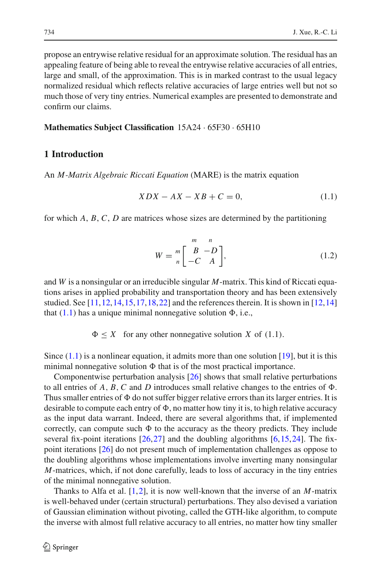propose an entrywise relative residual for an approximate solution. The residual has an appealing feature of being able to reveal the entrywise relative accuracies of all entries, large and small, of the approximation. This is in marked contrast to the usual legacy normalized residual which reflects relative accuracies of large entries well but not so much those of very tiny entries. Numerical examples are presented to demonstrate and confirm our claims.

#### **Mathematics Subject Classification** 15A24 · 65F30 · 65H10

## **1 Introduction**

<span id="page-1-0"></span>An *M -Matrix Algebraic Riccati Equation* (MARE) is the matrix equation

$$
XDX - AX - XB + C = 0,\t(1.1)
$$

for which *A*, *B*, *C*, *D* are matrices whose sizes are determined by the partitioning

$$
W = \begin{bmatrix} m & n \\ B & -D \\ -C & A \end{bmatrix},
$$
 (1.2)

<span id="page-1-1"></span>and *W* is a nonsingular or an irreducible singular *M*-matrix. This kind of Riccati equations arises in applied probability and transportation theory and has been extensively studied. See [\[11,](#page-34-1)[12](#page-34-2)[,14](#page-34-3)[,15](#page-34-4),[17,](#page-34-5)[18](#page-34-6)[,22](#page-34-7)] and the references therein. It is shown in [\[12,](#page-34-2)[14\]](#page-34-3) that  $(1.1)$  has a unique minimal nonnegative solution  $\Phi$ , i.e.,

 $\Phi \leq X$  for any other nonnegative solution *X* of (1.1).

Since  $(1.1)$  is a nonlinear equation, it admits more than one solution [\[19](#page-34-8)], but it is this minimal nonnegative solution  $\Phi$  that is of the most practical importance.

Componentwise perturbation analysis [\[26\]](#page-34-9) shows that small relative perturbations to all entries of  $A$ ,  $B$ ,  $C$  and  $D$  introduces small relative changes to the entries of  $\Phi$ . Thus smaller entries of  $\Phi$  do not suffer bigger relative errors than its larger entries. It is desirable to compute each entry of  $\Phi$ , no matter how tiny it is, to high relative accuracy as the input data warrant. Indeed, there are several algorithms that, if implemented correctly, can compute such  $\Phi$  to the accuracy as the theory predicts. They include several fix-point iterations  $[26,27]$  $[26,27]$  $[26,27]$  and the doubling algorithms  $[6,15,24]$  $[6,15,24]$  $[6,15,24]$  $[6,15,24]$ . The fixpoint iterations [\[26\]](#page-34-9) do not present much of implementation challenges as oppose to the doubling algorithms whose implementations involve inverting many nonsingular *M*-matrices, which, if not done carefully, leads to loss of accuracy in the tiny entries of the minimal nonnegative solution.

Thanks to Alfa et al. [\[1](#page-33-0),[2\]](#page-33-1), it is now well-known that the inverse of an *M*-matrix is well-behaved under (certain structural) perturbations. They also devised a variation of Gaussian elimination without pivoting, called the GTH-like algorithm, to compute the inverse with almost full relative accuracy to all entries, no matter how tiny smaller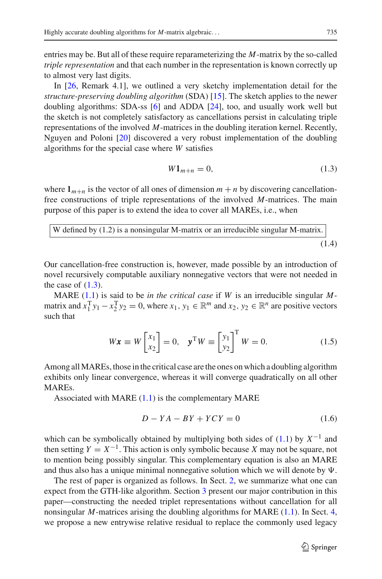entries may be. But all of these require reparameterizing the *M*-matrix by the so-called *triple representation* and that each number in the representation is known correctly up to almost very last digits.

In [\[26,](#page-34-9) Remark 4.1], we outlined a very sketchy implementation detail for the *structure-preserving doubling algorithm* (SDA) [\[15](#page-34-4)]. The sketch applies to the newer doubling algorithms: SDA-ss [\[6](#page-34-11)] and ADDA [\[24\]](#page-34-12), too, and usually work well but the sketch is not completely satisfactory as cancellations persist in calculating triple representations of the involved *M*-matrices in the doubling iteration kernel. Recently, Nguyen and Poloni [\[20](#page-34-0)] discovered a very robust implementation of the doubling algorithms for the special case where *W* satisfies

<span id="page-2-0"></span>
$$
W1_{m+n} = 0,\t\t(1.3)
$$

where  $1_{m+n}$  is the vector of all ones of dimension  $m+n$  by discovering cancellationfree constructions of triple representations of the involved *M*-matrices. The main purpose of this paper is to extend the idea to cover all MAREs, i.e., when

<span id="page-2-1"></span>

| W defined by $(1.2)$ is a nonsingular M-matrix or an irreducible singular M-matrix. |       |
|-------------------------------------------------------------------------------------|-------|
|                                                                                     | (1.4) |

Our cancellation-free construction is, however, made possible by an introduction of novel recursively computable auxiliary nonnegative vectors that were not needed in the case of  $(1.3)$ .

MARE [\(1.1\)](#page-1-0) is said to be *in the critical case* if *W* is an irreducible singular *M*matrix and  $x_1^T y_1 - x_2^T y_2 = 0$ , where  $x_1, y_1 \in \mathbb{R}^m$  and  $x_2, y_2 \in \mathbb{R}^n$  are positive vectors such that

$$
W\mathbf{x} \equiv W \begin{bmatrix} x_1 \\ x_2 \end{bmatrix} = 0, \quad \mathbf{y}^{\mathrm{T}} W \equiv \begin{bmatrix} y_1 \\ y_2 \end{bmatrix}^{\mathrm{T}} W = 0.
$$
 (1.5)

<span id="page-2-2"></span>Among allMAREs, those in the critical case are the ones on which a doubling algorithm exhibits only linear convergence, whereas it will converge quadratically on all other MAREs.

Associated with MARE  $(1.1)$  is the complementary MARE

$$
D - YA - BY + YCY = 0 \tag{1.6}
$$

which can be symbolically obtained by multiplying both sides of [\(1.1\)](#page-1-0) by *X*−<sup>1</sup> and then setting  $Y = X^{-1}$ . This action is only symbolic because X may not be square, not to mention being possibly singular. This complementary equation is also an MARE and thus also has a unique minimal nonnegative solution which we will denote by  $\Psi$ .

The rest of paper is organized as follows. In Sect. [2,](#page-3-0) we summarize what one can expect from the GTH-like algorithm. Section [3](#page-5-0) present our major contribution in this paper—constructing the needed triplet representations without cancellation for all nonsingular *M*-matrices arising the doubling algorithms for MARE [\(1.1\)](#page-1-0). In Sect. [4,](#page-15-0) we propose a new entrywise relative residual to replace the commonly used legacy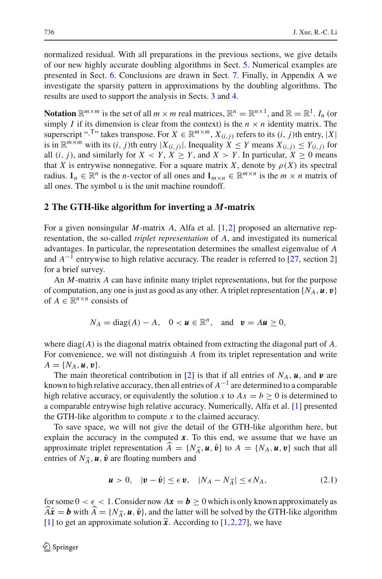normalized residual. With all preparations in the previous sections, we give details of our new highly accurate doubling algorithms in Sect. [5.](#page-19-0) Numerical examples are presented in Sect. [6.](#page-21-0) Conclusions are drawn in Sect. [7.](#page-30-0) Finally, in Appendix A we investigate the sparsity pattern in approximations by the doubling algorithms. The results are used to support the analysis in Sects. [3](#page-5-0) and [4.](#page-15-0)

**Notation**  $\mathbb{R}^{m \times m}$  is the set of all  $m \times m$  real matrices,  $\mathbb{R}^n = \mathbb{R}^{n \times 1}$ , and  $\mathbb{R} = \mathbb{R}^1$ . *I<sub>n</sub>* (or simply *I* if its dimension is clear from the context) is the  $n \times n$  identity matrix. The superscript "<sup>T</sup>" takes transpose. For  $X \in \mathbb{R}^{m \times m}$ ,  $X_{(i,j)}$  refers to its  $(i, j)$ th entry, |X| is in  $\mathbb{R}^{m \times m}$  with its  $(i, j)$ th entry  $|X_{(i,j)}|$ . Inequality  $X \leq Y$  means  $X_{(i,j)} \leq Y_{(i,j)}$  for all  $(i, j)$ , and similarly for  $X \leq Y$ ,  $X \geq Y$ , and  $X > Y$ . In particular,  $X \geq 0$  means that *X* is entrywise nonnegative. For a square matrix *X*, denote by  $\rho(X)$  its spectral radius.  $\mathbf{1}_n \in \mathbb{R}^n$  is the *n*-vector of all ones and  $\mathbf{1}_{m \times n} \in \mathbb{R}^{m \times n}$  is the  $m \times n$  matrix of all ones. The symbol  $\mu$  is the unit machine roundoff.

## <span id="page-3-0"></span>**2 The GTH-like algorithm for inverting a** *M***-matrix**

For a given nonsingular *M*-matrix *A*, Alfa et al. [\[1](#page-33-0),[2\]](#page-33-1) proposed an alternative representation, the so-called *triplet representation* of *A*, and investigated its numerical advantages. In particular, the representation determines the smallest eigenvalue of *A* and  $A^{-1}$  entrywise to high relative accuracy. The reader is referred to [\[27,](#page-34-10) section 2] for a brief survey.

An *M*-matrix *A* can have infinite many triplet representations, but for the purpose of computation, any one is just as good as any other. A triplet representation  $\{N_A, \boldsymbol{u}, \boldsymbol{v}\}\$ of  $A \in \mathbb{R}^{n \times n}$  consists of

$$
N_A = \text{diag}(A) - A
$$
,  $0 < u \in \mathbb{R}^n$ , and  $v = Au \ge 0$ ,

where  $diag(A)$  is the diagonal matrix obtained from extracting the diagonal part of  $A$ . For convenience, we will not distinguish *A* from its triplet representation and write  $A = \{N_A, u, v\}.$ 

The main theoretical contribution in [\[2](#page-33-1)] is that if all entries of  $N_A$ ,  $\boldsymbol{u}$ , and  $\boldsymbol{v}$  are known to high relative accuracy, then all entries of  $A^{-1}$  are determined to a comparable high relative accuracy, or equivalently the solution *x* to  $Ax = b \ge 0$  is determined to a comparable entrywise high relative accuracy. Numerically, Alfa et al. [\[1](#page-33-0)] presented the GTH-like algorithm to compute *x* to the claimed accuracy.

To save space, we will not give the detail of the GTH-like algorithm here, but explain the accuracy in the computed  $x$ . To this end, we assume that we have an approximate triplet representation  $A = \{N_{\hat{A}}, u, \hat{v}\}\$  to  $A = \{N_A, u, v\}$  such that all entries of  $N_A, u, \hat{u}\}$  are fleating numbers and entries of  $N_{\widehat{A}}$ ,  $u$ ,  $\hat{v}$  are floating numbers and

$$
\mathbf{u} > 0, \quad |\mathbf{v} - \hat{\mathbf{v}}| \le \epsilon \, \mathbf{v}, \quad |N_A - N_{\widehat{A}}| \le \epsilon N_A,\tag{2.1}
$$

<span id="page-3-1"></span>for some  $0 < \epsilon < 1$ . Consider now  $A\mathbf{x} = \mathbf{b} \ge 0$  which is only known approximately as  $A\hat{\mathbf{x}} = \mathbf{b}$  with  $A = \{N_{\hat{A}}, \mathbf{u}, \hat{\mathbf{v}}\}$ , and the latter will be solved by the GTH-like algorithm [\[1](#page-33-0)] to get an approximate solution  $\tilde{x}$ . According to [1[,2](#page-33-1),[27\]](#page-34-10), we have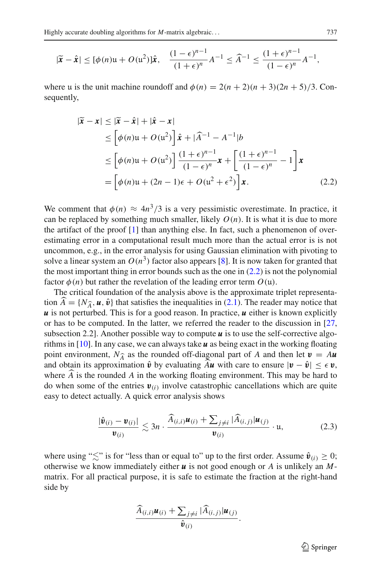$$
|\tilde{x} - \hat{x}| \leq [\phi(n)u + O(u^2)]\hat{x}, \quad \frac{(1-\epsilon)^{n-1}}{(1+\epsilon)^n}A^{-1} \leq \widehat{A}^{-1} \leq \frac{(1+\epsilon)^{n-1}}{(1-\epsilon)^n}A^{-1},
$$

where u is the unit machine roundoff and  $\phi(n) = 2(n+2)(n+3)(2n+5)/3$ . Consequently,

<span id="page-4-0"></span>
$$
|\tilde{\mathbf{x}} - \mathbf{x}| \leq |\tilde{\mathbf{x}} - \hat{\mathbf{x}}| + |\hat{\mathbf{x}} - \mathbf{x}|
$$
  
\n
$$
\leq \left[\phi(n)\mathbf{u} + O(\mathbf{u}^2)\right] \hat{\mathbf{x}} + |\widehat{A}^{-1} - A^{-1}|b
$$
  
\n
$$
\leq \left[\phi(n)\mathbf{u} + O(\mathbf{u}^2)\right] \frac{(1+\epsilon)^{n-1}}{(1-\epsilon)^n} \mathbf{x} + \left[\frac{(1+\epsilon)^{n-1}}{(1-\epsilon)^n} - 1\right] \mathbf{x}
$$
  
\n
$$
= \left[\phi(n)\mathbf{u} + (2n-1)\epsilon + O(\mathbf{u}^2 + \epsilon^2)\right] \mathbf{x}.
$$
 (2.2)

We comment that  $\phi(n) \approx 4n^3/3$  is a very pessimistic overestimate. In practice, it can be replaced by something much smaller, likely  $O(n)$ . It is what it is due to more the artifact of the proof [\[1](#page-33-0)] than anything else. In fact, such a phenomenon of overestimating error in a computational result much more than the actual error is is not uncommon, e.g., in the error analysis for using Gaussian elimination with pivoting to solve a linear system an  $O(n^3)$  factor also appears [\[8](#page-34-13)]. It is now taken for granted that the most important thing in error bounds such as the one in  $(2.2)$  is not the polynomial factor  $\phi(n)$  but rather the revelation of the leading error term  $O(\mu)$ .

The critical foundation of the analysis above is the approximate triplet representation  $A = \{N_{\hat{A}}, u, \hat{v}\}\$  that satisfies the inequalities in [\(2.1\)](#page-3-1). The reader may notice that  $u$  is not perturbed. This is for a good reason. In prectice, *u* either is known evolvity *u* is not perturbed. This is for a good reason. In practice, *u* either is known explicitly or has to be computed. In the latter, we referred the reader to the discussion in [\[27,](#page-34-10) subsection 2.2]. Another possible way to compute  $\boldsymbol{u}$  is to use the self-corrective algorithms in [\[10](#page-34-14)]. In any case, we can always take *u* as being exact in the working floating point environment,  $N_{\hat{A}}$  as the rounded off-diagonal part of *A* and then let  $v = Au$ <br>and obtain its approximation  $\hat{A}$  by avaluating  $\hat{A}v$  with one to appure  $|v - \hat{v}| < \epsilon v$ . and obtain its approximation  $\hat{v}$  by evaluating  $\hat{A}u$  with care to ensure  $|v - \hat{v}| \leq \epsilon v$ , where *A* is the rounded *A* in the working floating environment. This may be hard to the when game of the antipier  $\mu$  involve attachment against the second state of the set do when some of the entries  $\mathbf{v}_{(i)}$  involve catastrophic cancellations which are quite easy to detect actually. A quick error analysis shows

$$
\frac{|\hat{\mathbf{v}}_{(i)} - \mathbf{v}_{(i)}|}{\mathbf{v}_{(i)}} \lesssim 3n \cdot \frac{\widehat{A}_{(i,i)} \mathbf{u}_{(i)} + \sum_{j \neq i} |\widehat{A}_{(i,j)}| \mathbf{u}_{(j)}}{\mathbf{v}_{(i)}} \cdot \mathbf{u},\tag{2.3}
$$

where using " $\lesssim$ " is for "less than or equal to" up to the first order. Assume  $\hat{v}_{(i)} \ge 0$ ; otherwise we know immediately either *u* is not good enough or *A* is unlikely an *M*matrix. For all practical purpose, it is safe to estimate the fraction at the right-hand side by

$$
\frac{\widehat{A}_{(i,i)}\boldsymbol{u}_{(i)} + \sum_{j\neq i} |\widehat{A}_{(i,j)}|\boldsymbol{u}_{(j)}}{\widehat{\boldsymbol{v}}_{(i)}}.
$$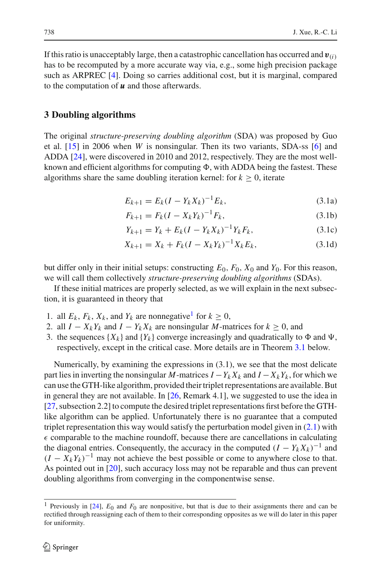If this ratio is unacceptably large, then a catastrophic cancellation has occurred and  $v_{(i)}$ has to be recomputed by a more accurate way via, e.g., some high precision package such as ARPREC [\[4](#page-34-15)]. Doing so carries additional cost, but it is marginal, compared to the computation of *u* and those afterwards.

## <span id="page-5-0"></span>**3 Doubling algorithms**

The original *structure-preserving doubling algorithm* (SDA) was proposed by Guo et al. [\[15](#page-34-4)] in 2006 when *W* is nonsingular. Then its two variants, SDA-ss [\[6\]](#page-34-11) and ADDA [\[24\]](#page-34-12), were discovered in 2010 and 2012, respectively. They are the most wellknown and efficient algorithms for computing  $\Phi,$  with ADDA being the fastest. These algorithms share the same doubling iteration kernel: for  $k \geq 0$ , iterate

$$
E_{k+1} = E_k (I - Y_k X_k)^{-1} E_k, \tag{3.1a}
$$

$$
F_{k+1} = F_k (I - X_k Y_k)^{-1} F_k,
$$
\n(3.1b)

<span id="page-5-3"></span><span id="page-5-2"></span>
$$
Y_{k+1} = Y_k + E_k (I - Y_k X_k)^{-1} Y_k F_k, \tag{3.1c}
$$

$$
X_{k+1} = X_k + F_k(I - X_k Y_k)^{-1} X_k E_k,
$$
\n(3.1d)

but differ only in their initial setups: constructing  $E_0$ ,  $F_0$ ,  $X_0$  and  $Y_0$ . For this reason, we will call them collectively *structure-preserving doubling algorithms* (SDAs).

If these initial matrices are properly selected, as we will explain in the next subsection, it is guaranteed in theory that

- 1. all  $E_k$ ,  $F_k$ ,  $X_k$ , and  $Y_k$  are nonnegative<sup>1</sup> for  $k \geq 0$ ,
- 2. all  $I X_k Y_k$  and  $I Y_k X_k$  are nonsingular *M*-matrices for  $k \ge 0$ , and
- 3. the sequences  $\{X_k\}$  and  $\{Y_k\}$  converge increasingly and quadratically to  $\Phi$  and  $\Psi$ , respectively, except in the critical case. More details are in Theorem [3.1](#page-8-0) below.

Numerically, by examining the expressions in (3.1), we see that the most delicate part lies in inverting the nonsingular *M*-matrices  $I - Y_k X_k$  and  $I - X_k Y_k$ , for which we can use the GTH-like algorithm, provided their triplet representations are available. But in general they are not available. In [\[26,](#page-34-9) Remark 4.1], we suggested to use the idea in [\[27](#page-34-10), subsection 2.2] to compute the desired triplet representations first before the GTHlike algorithm can be applied. Unfortunately there is no guarantee that a computed triplet representation this way would satisfy the perturbation model given in [\(2.1\)](#page-3-1) with  $\epsilon$  comparable to the machine roundoff, because there are cancellations in calculating the diagonal entries. Consequently, the accuracy in the computed  $(I - Y_k X_k)^{-1}$  and  $(I - X_k Y_k)^{-1}$  may not achieve the best possible or come to anywhere close to that. As pointed out in [\[20](#page-34-0)], such accuracy loss may not be reparable and thus can prevent doubling algorithms from converging in the componentwise sense.

<span id="page-5-1"></span><sup>&</sup>lt;sup>1</sup> Previously in [\[24](#page-34-12)],  $E_0$  and  $F_0$  are nonpositive, but that is due to their assignments there and can be rectified through reassigning each of them to their corresponding opposites as we will do later in this paper for uniformity.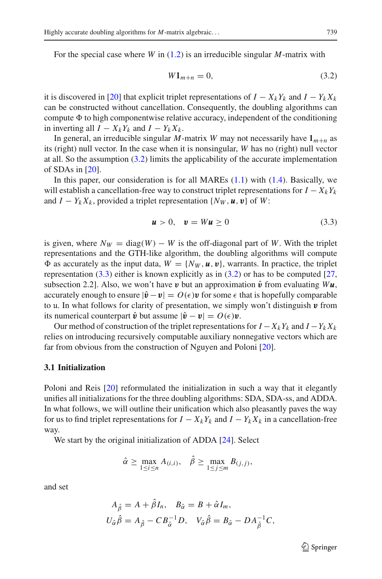<span id="page-6-0"></span>For the special case where *W* in [\(1.2\)](#page-1-1) is an irreducible singular *M*-matrix with

$$
W1_{m+n} = 0,\t\t(3.2)
$$

it is discovered in [\[20](#page-34-0)] that explicit triplet representations of  $I - X_k Y_k$  and  $I - Y_k X_k$ can be constructed without cancellation. Consequently, the doubling algorithms can compute  $\Phi$  to high componentwise relative accuracy, independent of the conditioning in inverting all  $I - X_k Y_k$  and  $I - Y_k X_k$ .

In general, an irreducible singular *M*-matrix *W* may not necessarily have  $1_{m+n}$  as its (right) null vector. In the case when it is nonsingular, *W* has no (right) null vector at all. So the assumption  $(3.2)$  limits the applicability of the accurate implementation of SDAs in [\[20\]](#page-34-0).

In this paper, our consideration is for all MAREs [\(1.1\)](#page-1-0) with [\(1.4\)](#page-2-1). Basically, we will establish a cancellation-free way to construct triplet representations for  $I - X_k Y_k$ and  $I - Y_k X_k$ , provided a triplet representation  $\{N_W, u, v\}$  of W:

$$
\mathbf{u} > 0, \quad \mathbf{v} = W\mathbf{u} \ge 0 \tag{3.3}
$$

<span id="page-6-1"></span>is given, where  $N_W = \text{diag}(W) - W$  is the off-diagonal part of W. With the triplet representations and the GTH-like algorithm, the doubling algorithms will compute  $\Phi$  as accurately as the input data,  $W = \{N_W, u, v\}$ , warrants. In practice, the triplet representation  $(3.3)$  either is known explicitly as in  $(3.2)$  or has to be computed [\[27,](#page-34-10) subsection 2.2]. Also, we won't have **v** but an approximation  $\hat{v}$  from evaluating  $W\boldsymbol{u}$ , accurately enough to ensure  $|\hat{\mathbf{v}} - \mathbf{v}| = O(\epsilon) \mathbf{v}$  for some  $\epsilon$  that is hopefully comparable to u. In what follows for clarity of presentation, we simply won't distinguish  $\boldsymbol{v}$  from its numerical counterpart  $\hat{\mathbf{v}}$  but assume  $|\hat{\mathbf{v}} - \mathbf{v}| = O(\epsilon)\mathbf{v}$ .

Our method of construction of the triplet representations for  $I - X_k Y_k$  and  $I - Y_k X_k$ relies on introducing recursively computable auxiliary nonnegative vectors which are far from obvious from the construction of Nguyen and Poloni [\[20\]](#page-34-0).

#### **3.1 Initialization**

Poloni and Reis [\[20](#page-34-0)] reformulated the initialization in such a way that it elegantly unifies all initializations for the three doubling algorithms: SDA, SDA-ss, and ADDA. In what follows, we will outline their unification which also pleasantly paves the way for us to find triplet representations for  $I - X_k Y_k$  and  $I - Y_k X_k$  in a cancellation-free way.

We start by the original initialization of ADDA [\[24\]](#page-34-12). Select

$$
\hat{\alpha} \geq \max_{1 \leq i \leq n} A_{(i,i)}, \quad \hat{\beta} \geq \max_{1 \leq j \leq m} B_{(j,j)},
$$

and set

$$
A_{\hat{\beta}} = A + \hat{\beta}I_n, \quad B_{\hat{\alpha}} = B + \hat{\alpha}I_m,
$$
  

$$
U_{\hat{\alpha}}\hat{\beta} = A_{\hat{\beta}} - CB_{\hat{\alpha}}^{-1}D, \quad V_{\hat{\alpha}}\hat{\beta} = B_{\hat{\alpha}} - DA_{\hat{\beta}}^{-1}C,
$$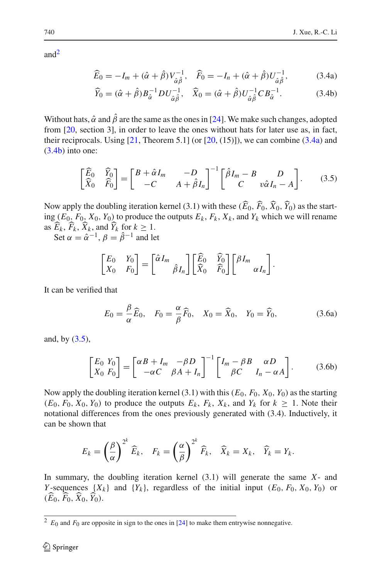an[d2](#page-7-0)

<span id="page-7-1"></span>
$$
\widehat{E}_0 = -I_m + (\hat{\alpha} + \hat{\beta})V_{\hat{\alpha}\hat{\beta}}^{-1}, \quad \widehat{F}_0 = -I_n + (\hat{\alpha} + \hat{\beta})U_{\hat{\alpha}\hat{\beta}}^{-1}, \tag{3.4a}
$$

<span id="page-7-2"></span>
$$
\widehat{Y}_0 = (\widehat{\alpha} + \widehat{\beta}) B_{\widehat{\alpha}}^{-1} D U_{\widehat{\alpha}\widehat{\beta}}^{-1}, \quad \widehat{X}_0 = (\widehat{\alpha} + \widehat{\beta}) U_{\widehat{\alpha}\widehat{\beta}}^{-1} C B_{\widehat{\alpha}}^{-1}.
$$
 (3.4b)

Without hats,  $\hat{\alpha}$  and  $\hat{\beta}$  are the same as the ones in [\[24](#page-34-12)]. We make such changes, adopted from [\[20](#page-34-0), section 3], in order to leave the ones without hats for later use as, in fact, their reciprocals. Using  $[21,$  $[21,$  Theorem 5.1] (or  $[20, (15)]$  $[20, (15)]$ ), we can combine  $(3.4a)$  and [\(3.4b\)](#page-7-2) into one:

$$
\begin{bmatrix} \widehat{E}_0 & \widehat{Y}_0 \\ \widehat{X}_0 & \widehat{F}_0 \end{bmatrix} = \begin{bmatrix} B + \hat{\alpha}I_m & -D \\ -C & A + \hat{\beta}I_n \end{bmatrix}^{-1} \begin{bmatrix} \hat{\beta}I_m - B & D \\ C & v\hat{\alpha}I_n - A \end{bmatrix} . \tag{3.5}
$$

<span id="page-7-3"></span>Now apply the doubling iteration kernel (3.1) with these  $(E_0, F_0, X_0, Y_0)$  as the start-<br>in  $(E_0, E_1, Y_0, Y_0)$  to graduate the suturity  $E_0, E_1, Y_0$  and  $Y_0$  which we will generate ing  $(E_0, F_0, X_0, Y_0)$  to produce the outputs  $E_k, F_k, X_k$ , and  $Y_k$  which we will rename as  $E_k$ ,  $F_k$ ,  $X_k$ , and  $Y_k$  for  $k \geq 1$ .

Set  $\alpha = \hat{\alpha}^{-1}, \beta = \hat{\beta}^{-1}$  and let

$$
\begin{bmatrix} E_0 & Y_0 \ X_0 & F_0 \end{bmatrix} = \begin{bmatrix} \hat{\alpha} I_m \\ \hat{\beta} I_n \end{bmatrix} \begin{bmatrix} \widehat{E}_0 & \widehat{Y}_0 \\ \widehat{X}_0 & \widehat{F}_0 \end{bmatrix} \begin{bmatrix} \beta I_m \\ \alpha I_n \end{bmatrix}.
$$

It can be verified that

$$
E_0 = \frac{\beta}{\alpha} \widehat{E}_0, \quad F_0 = \frac{\alpha}{\beta} \widehat{F}_0, \quad X_0 = \widehat{X}_0, \quad Y_0 = \widehat{Y}_0,\tag{3.6a}
$$

and, by  $(3.5)$ ,

$$
\begin{bmatrix} E_0 \ Y_0 \\ X_0 \ F_0 \end{bmatrix} = \begin{bmatrix} \alpha B + I_m & -\beta D \\ -\alpha C & \beta A + I_n \end{bmatrix}^{-1} \begin{bmatrix} I_m - \beta B & \alpha D \\ \beta C & I_n - \alpha A \end{bmatrix}.
$$
 (3.6b)

<span id="page-7-4"></span>Now apply the doubling iteration kernel (3.1) with this ( $E_0$ ,  $F_0$ ,  $X_0$ ,  $Y_0$ ) as the starting  $(E_0, F_0, X_0, Y_0)$  to produce the outputs  $E_k$ ,  $F_k$ ,  $X_k$ , and  $Y_k$  for  $k \geq 1$ . Note their notational differences from the ones previously generated with (3.4). Inductively, it can be shown that

$$
E_k = \left(\frac{\beta}{\alpha}\right)^{2^k} \widehat{E}_k, \quad F_k = \left(\frac{\alpha}{\beta}\right)^{2^k} \widehat{F}_k, \quad \widehat{X}_k = X_k, \quad \widehat{Y}_k = Y_k.
$$

In summary, the doubling iteration kernel (3.1) will generate the same *X*- and *Y*-sequences  $\{X_k\}$  and  $\{Y_k\}$ , regardless of the initial input  $(E_0, F_0, X_0, Y_0)$  or  $(E_0, F_0, X_0, Y_0).$ 

<span id="page-7-0"></span> $2 E_0$  and  $F_0$  are opposite in sign to the ones in [\[24](#page-34-12)] to make them entrywise nonnegative.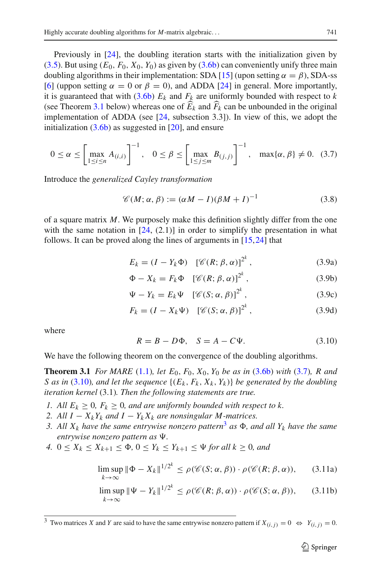Previously in [\[24](#page-34-12)], the doubling iteration starts with the initialization given by  $(3.5)$ . But using  $(E_0, F_0, X_0, Y_0)$  as given by  $(3.6b)$  can conveniently unify three main doubling algorithms in their implementation: SDA [\[15\]](#page-34-4) (upon setting  $\alpha = \beta$ ), SDA-ss [\[6](#page-34-11)] (uppon setting  $\alpha = 0$  or  $\beta = 0$ ), and ADDA [\[24](#page-34-12)] in general. More importantly, it is guaranteed that with  $(3.6b)$   $E_k$  and  $F_k$  are uniformly bounded with respect to  $k$ (see Theorem [3.1](#page-8-0) below) whereas one of  $E_k$  and  $F_k$  can be unbounded in the original<br>implementation of ADDA (see  $[24, \text{a}$ ) presenting 2.21). In view, of this, we object the implementation of ADDA (see [\[24,](#page-34-12) subsection 3.3]). In view of this, we adopt the initialization  $(3.6b)$  as suggested in  $[20]$  $[20]$ , and ensure

$$
0 \le \alpha \le \left[\max_{1 \le i \le n} A_{(i,i)}\right]^{-1}, \quad 0 \le \beta \le \left[\max_{1 \le j \le m} B_{(j,j)}\right]^{-1}, \quad \max\{\alpha, \beta\} \ne 0. \quad (3.7)
$$

<span id="page-8-1"></span>Introduce the *generalized Cayley transformation*

$$
\mathcal{C}(M; \alpha, \beta) := (\alpha M - I)(\beta M + I)^{-1}
$$
\n(3.8)

of a square matrix *M*. We purposely make this definition slightly differ from the one with the same notation in  $[24, (2.1)]$  $[24, (2.1)]$  in order to simplify the presentation in what follows. It can be proved along the lines of arguments in [\[15,](#page-34-4)[24\]](#page-34-12) that

$$
E_k = (I - Y_k \Phi) \left[ \mathcal{C}(R; \beta, \alpha) \right]^{2^k}, \tag{3.9a}
$$

$$
\Phi - X_k = F_k \Phi \quad [\mathscr{C}(R; \beta, \alpha)]^{2^k}, \tag{3.9b}
$$

$$
\Psi - Y_k = E_k \Psi \quad [\mathscr{C}(S; \alpha, \beta)]^{2^k}, \tag{3.9c}
$$

$$
F_k = (I - X_k \Psi) \left[ \mathcal{C}(S; \alpha, \beta) \right]^{2^k}, \tag{3.9d}
$$

<span id="page-8-2"></span>where

$$
R = B - D\Phi, \quad S = A - C\Psi.
$$
\n(3.10)

<span id="page-8-0"></span>We have the following theorem on the convergence of the doubling algorithms.

**Theorem 3.1** *For MARE* [\(1.1\)](#page-1-0)*, let E*0, *F*0, *X*0, *Y*<sup>0</sup> *be as in* [\(3.6b\)](#page-7-4) *with* [\(3.7\)](#page-8-1)*, R and S* as in [\(3.10\)](#page-8-2), and let the sequence  $\{(E_k, F_k, X_k, Y_k)\}$  be generated by the doubling *iteration kernel* (3.1)*. Then the following statements are true.*

- *1. All*  $E_k \geq 0$ ,  $F_k \geq 0$ , and are uniformly bounded with respect to k.
- *2. All I* −  $X_k Y_k$  *and I* −  $Y_k X_k$  *are nonsingular M-matrices.*
- [3](#page-8-3). All  $X_k$  have the same entrywise nonzero pattern<sup>3</sup> as  $\Phi$ , and all  $Y_k$  have the same *entrywise nonzero pattern as*  $\Psi$ .
- *4.*  $0 \le X_k \le X_{k+1} \le \Phi$ ,  $0 \le Y_k \le Y_{k+1} \le \Psi$  for all  $k \ge 0$ , and

<span id="page-8-4"></span>
$$
\limsup_{k \to \infty} \|\Phi - X_k\|^{1/2^k} \le \rho(\mathscr{C}(S; \alpha, \beta)) \cdot \rho(\mathscr{C}(R; \beta, \alpha)), \qquad (3.11a)
$$

$$
\limsup_{k \to \infty} \|\Psi - Y_k\|^{1/2^k} \le \rho(\mathscr{C}(R; \beta, \alpha)) \cdot \rho(\mathscr{C}(S; \alpha, \beta)), \qquad (3.11b)
$$

<span id="page-8-3"></span><sup>&</sup>lt;sup>3</sup> Two matrices *X* and *Y* are said to have the same entrywise nonzero pattern if  $X_{(i,j)} = 0 \Leftrightarrow Y_{(i,j)} = 0$ .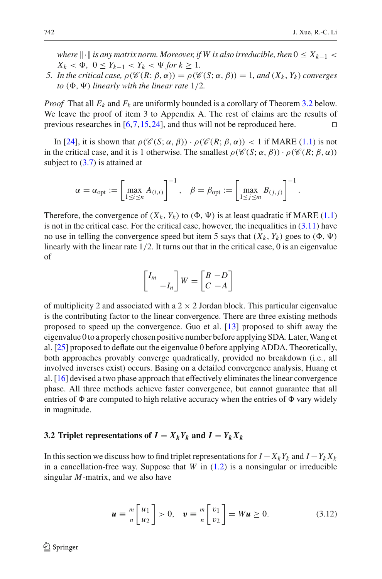.

*where*  $\| \cdot \|$  *is any matrix norm. Moreover, if W is also irreducible, then*  $0 \le X_{k-1} <$  $X_k < \Phi$ ,  $0 \le Y_{k-1} < Y_k < \Psi$  for  $k \ge 1$ .

*5. In the critical case,*  $\rho(\mathcal{C}(R; \beta, \alpha)) = \rho(\mathcal{C}(S; \alpha, \beta)) = 1$ , and  $(X_k, Y_k)$  converges  $to$   $(\Phi, \Psi)$  *linearly with the linear rate*  $1/2$ *.* 

*Proof* That all  $E_k$  and  $F_k$  are uniformly bounded is a corollary of Theorem [3.2](#page-10-0) below. We leave the proof of item 3 to Appendix A. The rest of claims are the results of previous researches in  $[6,7,15,24]$  $[6,7,15,24]$  $[6,7,15,24]$  $[6,7,15,24]$  $[6,7,15,24]$ , and thus will not be reproduced here.

In [\[24](#page-34-12)], it is shown that  $\rho(\mathcal{C}(S; \alpha, \beta)) \cdot \rho(\mathcal{C}(R; \beta, \alpha)) < 1$  if MARE [\(1.1\)](#page-1-0) is not in the critical case, and it is 1 otherwise. The smallest  $\rho(\mathscr{C}(S; \alpha, \beta)) \cdot \rho(\mathscr{C}(R; \beta, \alpha))$ subject to  $(3.7)$  is attained at

$$
\alpha = \alpha_{\text{opt}} := \left[\max_{1 \le i \le n} A_{(i,i)}\right]^{-1}, \quad \beta = \beta_{\text{opt}} := \left[\max_{1 \le j \le m} B_{(j,j)}\right]^{-1}
$$

Therefore, the convergence of  $(X_k, Y_k)$  to  $(\Phi, \Psi)$  is at least quadratic if MARE [\(1.1\)](#page-1-0) is not in the critical case. For the critical case, however, the inequalities in  $(3.11)$  have no use in telling the convergence speed but item 5 says that  $(X_k, Y_k)$  goes to  $(\Phi, \Psi)$ linearly with the linear rate  $1/2$ . It turns out that in the critical case, 0 is an eigenvalue of

$$
\begin{bmatrix} I_m \\ -I_n \end{bmatrix} W = \begin{bmatrix} B & -D \\ C & -A \end{bmatrix}
$$

of multiplicity 2 and associated with a  $2 \times 2$  Jordan block. This particular eigenvalue is the contributing factor to the linear convergence. There are three existing methods proposed to speed up the convergence. Guo et al. [\[13\]](#page-34-18) proposed to shift away the eigenvalue 0 to a properly chosen positive number before applying SDA. Later,Wang et al. [\[25\]](#page-34-19) proposed to deflate out the eigenvalue 0 before applying ADDA. Theoretically, both approaches provably converge quadratically, provided no breakdown (i.e., all involved inverses exist) occurs. Basing on a detailed convergence analysis, Huang et al. [\[16](#page-34-20)] devised a two phase approach that effectively eliminates the linear convergence phase. All three methods achieve faster convergence, but cannot guarantee that all entries of  $\Phi$  are computed to high relative accuracy when the entries of  $\Phi$  vary widely in magnitude.

#### **3.2 Triplet representations of**  $I - X_k Y_k$  and  $I - Y_k X_k$

<span id="page-9-1"></span><span id="page-9-0"></span>In this section we discuss how to find triplet representations for  $I - X_k Y_k$  and  $I - Y_k X_k$ in a cancellation-free way. Suppose that  $W$  in  $(1.2)$  is a nonsingular or irreducible singular *M*-matrix, and we also have

$$
\boldsymbol{u} \equiv \frac{m}{n} \begin{bmatrix} u_1 \\ u_2 \end{bmatrix} > 0, \quad \boldsymbol{v} \equiv \frac{m}{n} \begin{bmatrix} v_1 \\ v_2 \end{bmatrix} = W \boldsymbol{u} \ge 0. \tag{3.12}
$$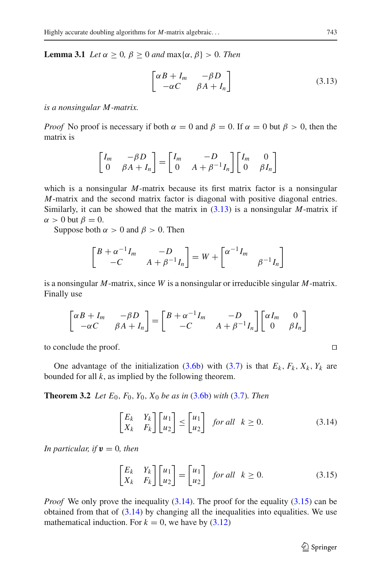<span id="page-10-1"></span>**Lemma 3.1** *Let*  $\alpha \geq 0$ *,*  $\beta \geq 0$  *and* max{ $\alpha$ *,*  $\beta$ } > 0*. Then* 

$$
\begin{bmatrix} \alpha B + I_m & -\beta D \\ -\alpha C & \beta A + I_n \end{bmatrix}
$$
 (3.13)

*is a nonsingular M -matrix.*

*Proof* No proof is necessary if both  $\alpha = 0$  and  $\beta = 0$ . If  $\alpha = 0$  but  $\beta > 0$ , then the matrix is

$$
\begin{bmatrix} I_m & -\beta D \\ 0 & \beta A + I_n \end{bmatrix} = \begin{bmatrix} I_m & -D \\ 0 & A + \beta^{-1} I_n \end{bmatrix} \begin{bmatrix} I_m & 0 \\ 0 & \beta I_n \end{bmatrix}
$$

which is a nonsingular *M*-matrix because its first matrix factor is a nonsingular *M*-matrix and the second matrix factor is diagonal with positive diagonal entries. Similarly, it can be showed that the matrix in [\(3.13\)](#page-10-1) is a nonsingular *M*-matrix if  $\alpha > 0$  but  $\beta = 0$ .

Suppose both  $\alpha > 0$  and  $\beta > 0$ . Then

$$
\begin{bmatrix} B + \alpha^{-1} I_m & -D \\ -C & A + \beta^{-1} I_n \end{bmatrix} = W + \begin{bmatrix} \alpha^{-1} I_m & \beta^{-1} I_n \end{bmatrix}
$$

is a nonsingular *M*-matrix, since *W* is a nonsingular or irreducible singular *M*-matrix. Finally use

$$
\begin{bmatrix} \alpha B + I_m & -\beta D \\ -\alpha C & \beta A + I_n \end{bmatrix} = \begin{bmatrix} B + \alpha^{-1} I_m & -D \\ -C & A + \beta^{-1} I_n \end{bmatrix} \begin{bmatrix} \alpha I_m & 0 \\ 0 & \beta I_n \end{bmatrix}
$$

to conclude the proof. 

<span id="page-10-0"></span>One advantage of the initialization [\(3.6b\)](#page-7-4) with [\(3.7\)](#page-8-1) is that  $E_k$ ,  $F_k$ ,  $X_k$ ,  $Y_k$  are bounded for all *k*, as implied by the following theorem.

<span id="page-10-2"></span>**Theorem 3.2** *Let E*0, *F*0, *Y*0, *X*<sup>0</sup> *be as in* [\(3.6b\)](#page-7-4) *with* [\(3.7\)](#page-8-1)*. Then*

$$
\begin{bmatrix} E_k & Y_k \\ X_k & F_k \end{bmatrix} \begin{bmatrix} u_1 \\ u_2 \end{bmatrix} \le \begin{bmatrix} u_1 \\ u_2 \end{bmatrix} \quad \text{for all} \quad k \ge 0. \tag{3.14}
$$

<span id="page-10-3"></span>*In particular, if*  $v = 0$ *, then* 

$$
\begin{bmatrix} E_k & Y_k \\ X_k & F_k \end{bmatrix} \begin{bmatrix} u_1 \\ u_2 \end{bmatrix} = \begin{bmatrix} u_1 \\ u_2 \end{bmatrix} \quad \text{for all} \quad k \ge 0. \tag{3.15}
$$

*Proof* We only prove the inequality [\(3.14\)](#page-10-2). The proof for the equality [\(3.15\)](#page-10-3) can be obtained from that of  $(3.14)$  by changing all the inequalities into equalities. We use mathematical induction. For  $k = 0$ , we have by  $(3.12)$ 

$$
\Box
$$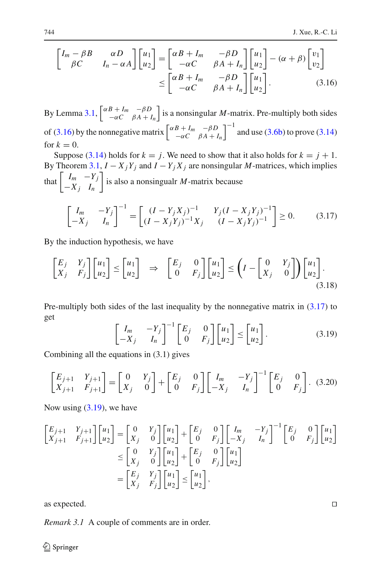<span id="page-11-0"></span>
$$
\begin{bmatrix}\nI_m - \beta B & \alpha D \\
\beta C & I_n - \alpha A\n\end{bmatrix}\n\begin{bmatrix}\nu_1 \\
u_2\n\end{bmatrix} =\n\begin{bmatrix}\n\alpha B + I_m & -\beta D \\
-\alpha C & \beta A + I_n\n\end{bmatrix}\n\begin{bmatrix}\nu_1 \\
u_2\n\end{bmatrix} - (\alpha + \beta)\begin{bmatrix}\nv_1 \\
v_2\n\end{bmatrix} \\
\leq \begin{bmatrix}\n\alpha B + I_m & -\beta D \\
-\alpha C & \beta A + I_n\n\end{bmatrix}\n\begin{bmatrix}\nu_1 \\
u_2\n\end{bmatrix}.
$$
\n(3.16)

By Lemma [3.1,](#page-9-1)  $\begin{bmatrix} \alpha B + I_m & -\beta D \\ -\alpha C & \beta A + I_m \end{bmatrix}$  $-\alpha C$   $\beta A + I_n$ is a nonsingular  $M$ -matrix. Pre-multiply both sides of [\(3.16\)](#page-11-0) by the nonnegative matrix  $\begin{bmatrix} \alpha B + I_m & -\beta D \\ -\alpha C & \beta A + I_m \end{bmatrix}$  $-\alpha C$   $\beta A + I_n$  $\int^{-1}$  and use [\(3.6b\)](#page-7-4) to prove [\(3.14\)](#page-10-2) for  $k = 0$ .

Suppose [\(3.14\)](#page-10-2) holds for  $k = j$ . We need to show that it also holds for  $k = j + 1$ . By Theorem [3.1,](#page-8-0)  $I - X_j Y_j$  and  $I - Y_j X_j$  are nonsingular *M*-matrices, which implies that  $\begin{vmatrix} I_m & -Y_j \ Y & I \end{vmatrix}$  $-X_j$  *In* is also a nonsingualr *M*-matrix because

$$
\begin{bmatrix} I_m & -Y_j \ -X_j & I_n \end{bmatrix}^{-1} = \begin{bmatrix} (I - Y_j X_j)^{-1} & Y_j (I - X_j Y_j)^{-1} \ (I - X_j Y_j)^{-1} X_j & (I - X_j Y_j)^{-1} \end{bmatrix} \ge 0.
$$
 (3.17)

<span id="page-11-1"></span>By the induction hypothesis, we have

$$
\begin{bmatrix} E_j & Y_j \\ X_j & F_j \end{bmatrix} \begin{bmatrix} u_1 \\ u_2 \end{bmatrix} \le \begin{bmatrix} u_1 \\ u_2 \end{bmatrix} \quad \Rightarrow \quad \begin{bmatrix} E_j & 0 \\ 0 & F_j \end{bmatrix} \begin{bmatrix} u_1 \\ u_2 \end{bmatrix} \le \left( I - \begin{bmatrix} 0 & Y_j \\ X_j & 0 \end{bmatrix} \right) \begin{bmatrix} u_1 \\ u_2 \end{bmatrix} . \tag{3.18}
$$

Pre-multiply both sides of the last inequality by the nonnegative matrix in [\(3.17\)](#page-11-1) to get

$$
\begin{bmatrix} I_m & -Y_j \\ -X_j & I_n \end{bmatrix}^{-1} \begin{bmatrix} E_j & 0 \\ 0 & F_j \end{bmatrix} \begin{bmatrix} u_1 \\ u_2 \end{bmatrix} \leq \begin{bmatrix} u_1 \\ u_2 \end{bmatrix}.
$$
 (3.19)

<span id="page-11-2"></span>Combining all the equations in (3.1) gives

$$
\begin{bmatrix} E_{j+1} & Y_{j+1} \\ X_{j+1} & F_{j+1} \end{bmatrix} = \begin{bmatrix} 0 & Y_j \\ X_j & 0 \end{bmatrix} + \begin{bmatrix} E_j & 0 \\ 0 & F_j \end{bmatrix} \begin{bmatrix} I_m & -Y_j \\ -X_j & I_n \end{bmatrix}^{-1} \begin{bmatrix} E_j & 0 \\ 0 & F_j \end{bmatrix}. \tag{3.20}
$$

<span id="page-11-3"></span>Now using  $(3.19)$ , we have

$$
\begin{bmatrix} E_{j+1} & Y_{j+1} \\ X_{j+1} & F_{j+1} \end{bmatrix} \begin{bmatrix} u_1 \\ u_2 \end{bmatrix} = \begin{bmatrix} 0 & Y_j \\ X_j & 0 \end{bmatrix} \begin{bmatrix} u_1 \\ u_2 \end{bmatrix} + \begin{bmatrix} E_j & 0 \\ 0 & F_j \end{bmatrix} \begin{bmatrix} I_m & -Y_j \\ -X_j & I_n \end{bmatrix}^{-1} \begin{bmatrix} E_j & 0 \\ 0 & F_j \end{bmatrix} \begin{bmatrix} u_1 \\ u_2 \end{bmatrix} \\
\leq \begin{bmatrix} 0 & Y_j \\ X_j & 0 \end{bmatrix} \begin{bmatrix} u_1 \\ u_2 \end{bmatrix} + \begin{bmatrix} E_j & 0 \\ 0 & F_j \end{bmatrix} \begin{bmatrix} u_1 \\ u_2 \end{bmatrix} \\
= \begin{bmatrix} E_j & Y_j \\ X_j & F_j \end{bmatrix} \begin{bmatrix} u_1 \\ u_2 \end{bmatrix} \leq \begin{bmatrix} u_1 \\ u_2 \end{bmatrix},
$$

as expected. 

*Remark 3.1* A couple of comments are in order.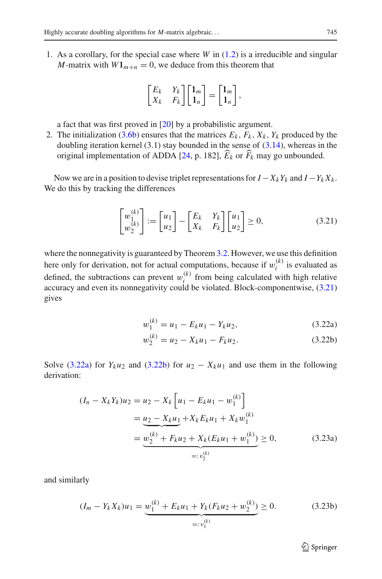1. As a corollary, for the special case where *W* in [\(1.2\)](#page-1-1) is a irreducible and singular *M*-matrix with  $W1_{m+n} = 0$ , we deduce from this theorem that

$$
\begin{bmatrix} E_k & Y_k \\ X_k & F_k \end{bmatrix} \begin{bmatrix} 1_m \\ 1_n \end{bmatrix} = \begin{bmatrix} 1_m \\ 1_n \end{bmatrix},
$$

a fact that was first proved in [\[20\]](#page-34-0) by a probabilistic argument.

2. The initialization [\(3.6b\)](#page-7-4) ensures that the matrices  $E_k$ ,  $F_k$ ,  $X_k$ ,  $Y_k$  produced by the doubling iteration kernel  $(3.1)$  stay bounded in the sense of  $(3.14)$ , whereas in the original implementation of ADDA [\[24](#page-34-12), p. 182],  $E_k$  or  $F_k$  may go unbounded.

Now we are in a position to devise triplet representations for  $I - X_k Y_k$  and  $I - Y_k X_k$ . We do this by tracking the differences

$$
\begin{bmatrix} w_1^{(k)} \\ w_2^{(k)} \end{bmatrix} := \begin{bmatrix} u_1 \\ u_2 \end{bmatrix} - \begin{bmatrix} E_k & Y_k \\ X_k & F_k \end{bmatrix} \begin{bmatrix} u_1 \\ u_2 \end{bmatrix} \ge 0,
$$
 (3.21)

<span id="page-12-0"></span>where the nonnegativity is guaranteed by Theorem [3.2.](#page-10-0) However, we use this definition here only for derivation, not for actual computations, because if  $w_i^{(k)}$  is evaluated as defined, the subtractions can prevent  $w_i^{(k)}$  from being calculated with high relative accuracy and even its nonnegativity could be violated. Block-componentwise, [\(3.21\)](#page-12-0) gives

<span id="page-12-1"></span>
$$
w_1^{(k)} = u_1 - E_k u_1 - Y_k u_2, \tag{3.22a}
$$

<span id="page-12-2"></span>
$$
w_2^{(k)} = u_2 - X_k u_1 - F_k u_2. \tag{3.22b}
$$

<span id="page-12-4"></span>Solve [\(3.22a\)](#page-12-1) for  $Y_ku_2$  and [\(3.22b\)](#page-12-2) for  $u_2 - X_ku_1$  and use them in the following derivation:

$$
(I_n - X_k Y_k)u_2 = u_2 - X_k \left[ u_1 - E_k u_1 - w_1^{(k)} \right]
$$
  
= 
$$
\underbrace{u_2 - X_k u_1}_{= \underbrace{u_2^{(k)} + F_k u_2 + X_k (E_k u_1 + w_1^{(k)})}_{=:\, v_2^{(k)}} \ge 0,
$$
 (3.23a)

<span id="page-12-3"></span>and similarly

$$
(I_m - Y_k X_k)u_1 = \underbrace{w_1^{(k)} + E_k u_1 + Y_k (F_k u_2 + w_2^{(k)})}_{=: v_1^{(k)}} \ge 0.
$$
 (3.23b)

 $\mathcal{D}$  Springer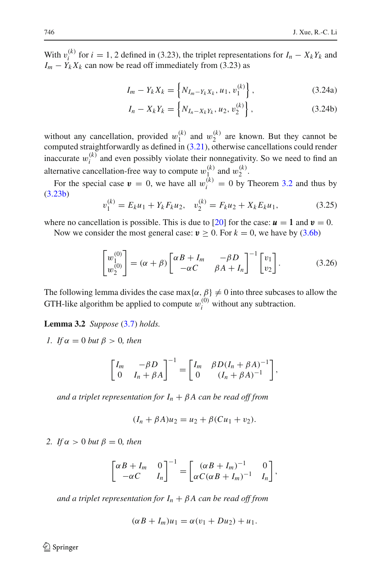With  $v_i^{(k)}$  for *i* = 1, 2 defined in (3.23), the triplet representations for  $I_n - X_k Y_k$  and  $I_m - Y_k X_k$  can now be read off immediately from (3.23) as

<span id="page-13-2"></span>
$$
I_m - Y_k X_k = \left\{ N_{I_m - Y_k X_k}, u_1, v_1^{(k)} \right\},\tag{3.24a}
$$

$$
I_n - X_k Y_k = \left\{ N_{I_n - X_k Y_k}, u_2, v_2^{(k)} \right\},\tag{3.24b}
$$

without any cancellation, provided  $w_1^{(k)}$  and  $w_2^{(k)}$  are known. But they cannot be computed straightforwardly as defined in [\(3.21\)](#page-12-0), otherwise cancellations could render inaccurate  $w_i^{(k)}$  and even possibly violate their nonnegativity. So we need to find an alternative cancellation-free way to compute  $w_1^{(k)}$  and  $w_2^{(k)}$ .

For the special case  $\mathbf{v} = 0$ , we have all  $w_i^{(k)} = 0$  by Theorem [3.2](#page-10-0) and thus by [\(3.23b\)](#page-12-3)

$$
v_1^{(k)} = E_k u_1 + Y_k F_k u_2, \quad v_2^{(k)} = F_k u_2 + X_k E_k u_1,\tag{3.25}
$$

where no cancellation is possible. This is due to [\[20](#page-34-0)] for the case:  $u = 1$  and  $v = 0$ .

Now we consider the most general case:  $v > 0$ . For  $k = 0$ , we have by [\(3.6b\)](#page-7-4)

$$
\begin{bmatrix} w_1^{(0)} \\ w_2^{(0)} \end{bmatrix} = (\alpha + \beta) \begin{bmatrix} \alpha B + I_m & -\beta D \\ -\alpha C & \beta A + I_n \end{bmatrix}^{-1} \begin{bmatrix} v_1 \\ v_2 \end{bmatrix}.
$$
 (3.26)

<span id="page-13-1"></span><span id="page-13-0"></span>The following lemma divides the case max $\{\alpha, \beta\} \neq 0$  into three subcases to allow the GTH-like algorithm be applied to compute  $w_i^{(0)}$  without any subtraction.

**Lemma 3.2** *Suppose* [\(3.7\)](#page-8-1) *holds.*

*1. If*  $\alpha = 0$  *but*  $\beta > 0$ *, then* 

$$
\begin{bmatrix} I_m & -\beta D \\ 0 & I_n + \beta A \end{bmatrix}^{-1} = \begin{bmatrix} I_m & \beta D (I_n + \beta A)^{-1} \\ 0 & (I_n + \beta A)^{-1} \end{bmatrix},
$$

*and a triplet representation for*  $I_n + \beta A$  *can be read off from* 

$$
(I_n + \beta A)u_2 = u_2 + \beta (Cu_1 + v_2).
$$

*2. If*  $\alpha > 0$  *but*  $\beta = 0$ *, then* 

$$
\begin{bmatrix} \alpha B + I_m & 0 \\ -\alpha C & I_n \end{bmatrix}^{-1} = \begin{bmatrix} (\alpha B + I_m)^{-1} & 0 \\ \alpha C(\alpha B + I_m)^{-1} & I_n \end{bmatrix},
$$

*and a triplet representation for*  $I_n + \beta A$  *can be read off from* 

$$
(\alpha B + I_m)u_1 = \alpha(v_1 + Du_2) + u_1.
$$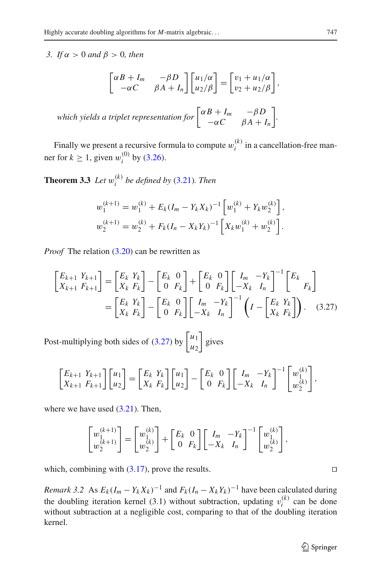*3. If* α > 0 *and* β > 0*, then*

$$
\begin{bmatrix} \alpha B + I_m & -\beta D \\ -\alpha C & \beta A + I_n \end{bmatrix} \begin{bmatrix} u_1/\alpha \\ u_2/\beta \end{bmatrix} = \begin{bmatrix} v_1 + u_1/\alpha \\ v_2 + u_2/\beta \end{bmatrix},
$$

*which yields a triplet representation for*  $\begin{vmatrix} \alpha B + I_m & -\beta D \\ \alpha G & \alpha A + I_m \end{vmatrix}$  $-\alpha C$   $\beta A + I_n$ *.*

<span id="page-14-1"></span>Finally we present a recursive formula to compute  $w_i^{(k)}$  in a cancellation-free manner for  $k \ge 1$ , given  $w_i^{(0)}$  by [\(3.26\)](#page-13-0).

**Theorem 3.3** *Let*  $w_i^{(k)}$  *be defined by* [\(3.21\)](#page-12-0)*. Then* 

$$
w_1^{(k+1)} = w_1^{(k)} + E_k (I_m - Y_k X_k)^{-1} \left[ w_1^{(k)} + Y_k w_2^{(k)} \right],
$$
  

$$
w_2^{(k+1)} = w_2^{(k)} + F_k (I_n - X_k Y_k)^{-1} \left[ X_k w_1^{(k)} + w_2^{(k)} \right].
$$

*Proof* The relation [\(3.20\)](#page-11-3) can be rewritten as

$$
\begin{bmatrix} E_{k+1} & Y_{k+1} \\ X_{k+1} & F_{k+1} \end{bmatrix} = \begin{bmatrix} E_k & Y_k \\ X_k & F_k \end{bmatrix} - \begin{bmatrix} E_k & 0 \\ 0 & F_k \end{bmatrix} + \begin{bmatrix} E_k & 0 \\ 0 & F_k \end{bmatrix} \begin{bmatrix} I_m & -Y_k \\ -X_k & I_n \end{bmatrix}^{-1} \begin{bmatrix} E_k \\ F_k \end{bmatrix}
$$
\n
$$
= \begin{bmatrix} E_k & Y_k \\ X_k & F_k \end{bmatrix} - \begin{bmatrix} E_k & 0 \\ 0 & F_k \end{bmatrix} \begin{bmatrix} I_m & -Y_k \\ -X_k & I_n \end{bmatrix}^{-1} \left( I - \begin{bmatrix} E_k & Y_k \\ X_k & F_k \end{bmatrix} \right). \tag{3.27}
$$

Post-multiplying both sides of [\(3.27\)](#page-14-0) by  $\begin{bmatrix} u_1 \\ u_2 \end{bmatrix}$ *u*2 gives

$$
\begin{bmatrix} E_{k+1} & Y_{k+1} \\ X_{k+1} & F_{k+1} \end{bmatrix} \begin{bmatrix} u_1 \\ u_2 \end{bmatrix} = \begin{bmatrix} E_k & Y_k \\ X_k & F_k \end{bmatrix} \begin{bmatrix} u_1 \\ u_2 \end{bmatrix} - \begin{bmatrix} E_k & 0 \\ 0 & F_k \end{bmatrix} \begin{bmatrix} I_m & -Y_k \\ -X_k & I_n \end{bmatrix}^{-1} \begin{bmatrix} w_1^{(k)} \\ w_2^{(k)} \end{bmatrix},
$$

where we have used  $(3.21)$ . Then,

$$
\begin{bmatrix} w_1^{(k+1)} \\ w_2^{(k+1)} \end{bmatrix} = \begin{bmatrix} w_1^{(k)} \\ w_2^{(k)} \end{bmatrix} + \begin{bmatrix} E_k & 0 \\ 0 & F_k \end{bmatrix} \begin{bmatrix} I_m & -Y_k \\ -X_k & I_n \end{bmatrix}^{-1} \begin{bmatrix} w_1^{(k)} \\ w_2^{(k)} \end{bmatrix},
$$

which, combining with  $(3.17)$ , prove the results.

*Remark 3.2* As  $E_k(I_m - Y_kX_k)^{-1}$  and  $F_k(I_n - X_kY_k)^{-1}$  have been calculated during the doubling iteration kernel (3.1) without subtraction, updating  $v_i^{(k)}$  can be done without subtraction at a negligible cost, comparing to that of the doubling iteration kernel.

<span id="page-14-0"></span>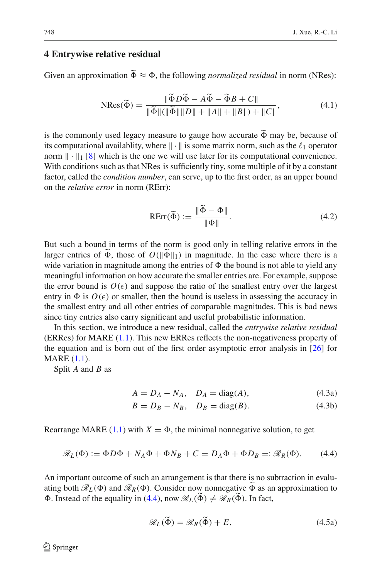## <span id="page-15-0"></span>**4 Entrywise relative residual**

<span id="page-15-4"></span>Given an approximation  $\Phi \approx \Phi$ , the following *normalized residual* in norm (NRes):

$$
NRes(\tilde{\Phi}) = \frac{\|\tilde{\Phi}D\tilde{\Phi} - A\tilde{\Phi} - \tilde{\Phi}B + C\|}{\|\tilde{\Phi}\|(\|\tilde{\Phi}\|\|D\| + \|A\| + \|B\|) + \|C\|},\tag{4.1}
$$

is the commonly used legacy measure to gauge how accurate  $\Phi$  may be, because of its computational qualishing where  $\|\cdot\|$  is computative norm, such as the  $\ell$ , operator its computational availablity, where  $\|\cdot\|$  is some matrix norm, such as the  $\ell_1$  operator norm  $\|\cdot\|_1$  [\[8](#page-34-13)] which is the one we will use later for its computational convenience. With conditions such as that NRes is sufficiently tiny, some multiple of it by a constant factor, called the *condition number*, can serve, up to the first order, as an upper bound on the *relative error* in norm (RErr):

$$
RErr(\widetilde{\Phi}) := \frac{\|\widetilde{\Phi} - \Phi\|}{\|\Phi\|}.
$$
\n(4.2)

<span id="page-15-3"></span>But such a bound in terms of the norm is good only in telling relative errors in the larger entries of  $\Phi$ , those of  $O(\|\Phi\|_1)$  in magnitude. In the case where there is a mide vertice in magnitude entries of  $\Phi$  the hand is not able to viald any wide variation in magnitude among the entries of  $\Phi$  the bound is not able to yield any meaningful information on how accurate the smaller entries are. For example, suppose the error bound is  $O(\epsilon)$  and suppose the ratio of the smallest entry over the largest entry in  $\Phi$  is  $O(\epsilon)$  or smaller, then the bound is useless in assessing the accuracy in the smallest entry and all other entries of comparable magnitudes. This is bad news since tiny entries also carry significant and useful probabilistic information.

In this section, we introduce a new residual, called the *entrywise relative residual* (ERRes) for MARE [\(1.1\)](#page-1-0). This new ERRes reflects the non-negativeness property of the equation and is born out of the first order asymptotic error analysis in [\[26\]](#page-34-9) for MARE [\(1.1\)](#page-1-0).

Split *A* and *B* as

$$
A = D_A - N_A, \quad D_A = \text{diag}(A), \tag{4.3a}
$$

$$
B = D_B - N_B, \quad D_B = \text{diag}(B). \tag{4.3b}
$$

<span id="page-15-1"></span>Rearrange MARE  $(1.1)$  with  $X = \Phi$ , the minimal nonnegative solution, to get

$$
\mathcal{R}_L(\Phi) := \Phi D \Phi + N_A \Phi + \Phi N_B + C = D_A \Phi + \Phi D_B =: \mathcal{R}_R(\Phi). \tag{4.4}
$$

<span id="page-15-2"></span>An important outcome of such an arrangement is that there is no subtraction in evaluating both  $\mathcal{R}_L(\Phi)$  and  $\mathcal{R}_R(\Phi)$ . Consider now nonnegative  $\Phi$  as an approximation to  $\Phi$ . Instead of the equality in [\(4.4\)](#page-15-1), now  $\mathcal{R}_L(\Phi) \neq \mathcal{R}_R(\Phi)$ . In fact,

$$
\mathscr{R}_L(\widetilde{\Phi}) = \mathscr{R}_R(\widetilde{\Phi}) + E,\tag{4.5a}
$$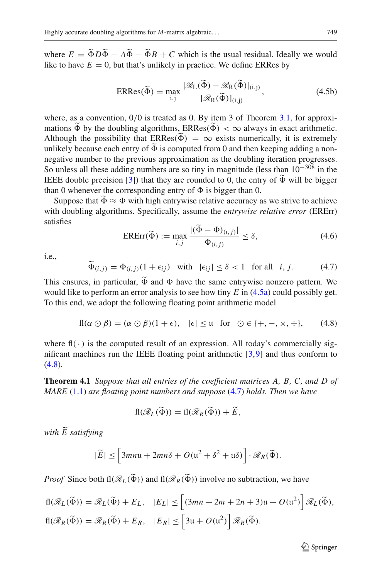where  $E = \Phi D \Phi - A \Phi - \Phi B + C$  which is the usual residual. Ideally we would like to have  $E = 0$ , but that's unlikely in practice. We define ERRes by

$$
ERRes(\tilde{\Phi}) = \max_{i,j} \frac{|\mathcal{R}_L(\tilde{\Phi}) - \mathcal{R}_R(\tilde{\Phi})|_{(i,j)}}{[\mathcal{R}_R(\tilde{\Phi})]_{(i,j)}},
$$
(4.5b)

<span id="page-16-2"></span>where, as a convention,  $0/0$  is treated as 0. By item 3 of Theorem [3.1,](#page-8-0) for approximations  $\Phi$  by the doubling algorithms,  $ERRes(\Phi) < \infty$  always in exact arithmetic. Although the possibility that  $ERRes(\Phi) = \infty$  exists numerically, it is extremely<br>unlikely because each ontry of  $\widetilde{\Phi}$  is computed from 0 and than keeping adding a nonunlikely because each entry of  $\Phi$  is computed from 0 and then keeping adding a non-<br>negative number to the negatives enganization as the doubling iteration negatives negative number to the previous approximation as the doubling iteration progresses. So unless all these adding numbers are so tiny in magnitude (less than 10−<sup>308</sup> in the IEEE double precision [\[3\]](#page-34-21)) that they are rounded to 0, the entry of  $\Phi$  will be bigger<br>than 0 whangyar the corresponding entry of  $\Phi$  is bigger than 0. than 0 whenever the corresponding entry of  $\Phi$  is bigger than 0.

Suppose that  $\Phi \approx \Phi$  with high entrywise relative accuracy as we strive to achieve<br>the doubling also ithms. Specifically, accuracy the autumning valative arrow (EDE) with doubling algorithms. Specifically, assume the *entrywise relative error* (ERErr) satisfies

$$
\text{ERErr}(\widetilde{\Phi}) := \max_{i,j} \frac{|(\widetilde{\Phi} - \Phi)_{(i,j)}|}{\Phi_{(i,j)}} \le \delta,\tag{4.6}
$$

<span id="page-16-3"></span><span id="page-16-1"></span>i.e.,

$$
\widetilde{\Phi}_{(i,j)} = \Phi_{(i,j)}(1 + \epsilon_{ij}) \quad \text{with} \quad |\epsilon_{ij}| \le \delta < 1 \quad \text{for all} \quad i, j. \tag{4.7}
$$

This ensures, in particular,  $\Phi$  and  $\Phi$  have the same entrywise nonzero pattern. We<br>would like to perform an error applying to see how time  $E$  in (4.5e) apuld people was would like to perform an error analysis to see how tiny *E* in [\(4.5a\)](#page-15-2) could possibly get. To this end, we adopt the following floating point arithmetic model

$$
fl(\alpha \odot \beta) = (\alpha \odot \beta)(1 + \epsilon), \quad |\epsilon| \le \mu \quad \text{for} \quad \odot \in \{+, -, \times, \div\},\tag{4.8}
$$

<span id="page-16-0"></span>where  $f\parallel(\cdot)$  is the computed result of an expression. All today's commercially significant machines run the IEEE floating point arithmetic [\[3](#page-34-21)[,9](#page-34-22)] and thus conform to  $(4.8).$  $(4.8).$ 

**Theorem 4.1** *Suppose that all entries of the coefficient matrices A, B, C, and D of MARE* [\(1.1\)](#page-1-0) *are floating point numbers and suppose* [\(4.7\)](#page-16-1) *holds. Then we have*

$$
\mathrm{fl}(\mathscr{R}_L(\widetilde{\Phi})) = \mathrm{fl}(\mathscr{R}_R(\widetilde{\Phi})) + \widetilde{E},
$$

*with E satisfying*

$$
|\widetilde{E}| \leq \left[3mn\mathfrak{u} + 2mn\delta + O(\mathfrak{u}^2 + \delta^2 + \mathfrak{u}\delta)\right] \cdot \mathcal{R}_R(\widetilde{\Phi}).
$$

*Proof* Since both  $\text{fl}(\mathcal{R}_L(\Phi))$  and  $\text{fl}(\mathcal{R}_R(\Phi))$  involve no subtraction, we have

$$
fl(\mathcal{R}_L(\widetilde{\Phi})) = \mathcal{R}_L(\widetilde{\Phi}) + E_L, \quad |E_L| \le \left[ (3mn + 2m + 2n + 3)u + O(u^2) \right] \mathcal{R}_L(\widetilde{\Phi}),
$$
  

$$
fl(\mathcal{R}_R(\widetilde{\Phi})) = \mathcal{R}_R(\widetilde{\Phi}) + E_R, \quad |E_R| \le \left[ 3u + O(u^2) \right] \mathcal{R}_R(\widetilde{\Phi}).
$$

 $\mathcal{D}$  Springer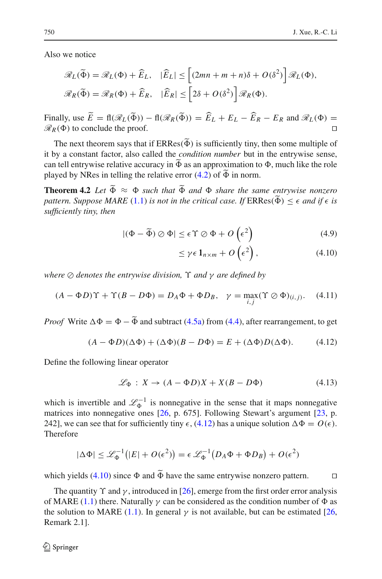Also we notice

$$
\mathcal{R}_L(\widetilde{\Phi}) = \mathcal{R}_L(\Phi) + \widehat{E}_L, \quad |\widehat{E}_L| \le \left[ (2mn + m + n)\delta + O(\delta^2) \right] \mathcal{R}_L(\Phi),
$$
  

$$
\mathcal{R}_R(\widetilde{\Phi}) = \mathcal{R}_R(\Phi) + \widehat{E}_R, \quad |\widehat{E}_R| \le \left[ 2\delta + O(\delta^2) \right] \mathcal{R}_R(\Phi).
$$

Finally, use  $E = \text{fl}(\mathcal{R}_L(\Phi)) - \text{fl}(\mathcal{R}_R(\Phi)) = E_L + E_L - E_R - E_R$  and  $\mathcal{R}_L(\Phi) =$  $\mathcal{R}_R(\Phi)$  to conclude the proof.

The next theorem says that if  $ERRes(\Phi)$  is sufficiently tiny, then some multiple of  $\mathcal{L}$  is a constant feature and constant  $\mathcal{L}$  and  $\mathcal{L}$  is a condition number but in the entruring sense it by a constant factor, also called the *condition number* but in the entrywise sense, can tell entrywise relative accuracy in  $\Phi$  as an approximation to  $\Phi$ , much like the role<br>played by NB as in talling the relative arror (4.2) of  $\tilde{\Phi}$  in narm played by NRes in telling the relative error  $(4.2)$  of  $\Phi$  in norm.

<span id="page-17-2"></span>**Theorem 4.2** *Let*  $\Phi \approx \Phi$  *such that*  $\Phi$  *and*  $\Phi$  *share the same entrywise nonzero* <br> *natters Suppose MARE* (1.1) *is not in the spitiaal ages. ISBDas*( $\widetilde{\Phi}$ )  $\leq \epsilon$  and if  $\epsilon$  *is pattern. Suppose MARE* [\(1.1\)](#page-1-0) *is not in the critical case. If*  $ERRes(\Phi) \leq \epsilon$  and if  $\epsilon$  is<br>sufficiently time than *sufficiently tiny, then*

$$
|(\Phi - \widetilde{\Phi}) \oslash \Phi| \le \epsilon \Upsilon \oslash \Phi + O\left(\epsilon^2\right) \tag{4.9}
$$

<span id="page-17-1"></span>
$$
\leq \gamma \epsilon \, \mathbf{1}_{n \times m} + O\left(\epsilon^2\right),\tag{4.10}
$$

*where* ⊘ *denotes the entrywise division*,  $\Upsilon$  *and* γ *are defined by* 

$$
(A - \Phi D)\Upsilon + \Upsilon (B - D\Phi) = D_A \Phi + \Phi D_B, \quad \gamma = \max_{i,j} (\Upsilon \oslash \Phi)_{(i,j)}.
$$
 (4.11)

<span id="page-17-0"></span>*Proof* Write  $\Delta \Phi = \Phi - \Phi$  and subtract [\(4.5a\)](#page-15-2) from [\(4.4\)](#page-15-1), after rearrangement, to get

$$
(A - \Phi D)(\Delta \Phi) + (\Delta \Phi)(B - D\Phi) = E + (\Delta \Phi)D(\Delta \Phi). \tag{4.12}
$$

Define the following linear operator

$$
\mathcal{L}_{\Phi}: X \to (A - \Phi D)X + X(B - D\Phi) \tag{4.13}
$$

which is invertible and  $\mathcal{L}_{\Phi}^{-1}$  is nonnegative in the sense that it maps nonnegative matrices into nonnegative ones [\[26](#page-34-9), p. 675]. Following Stewart's argument [\[23](#page-34-23), p. 242], we can see that for sufficiently tiny  $\epsilon$ , [\(4.12\)](#page-17-0) has a unique solution  $\Delta \Phi = O(\epsilon)$ . Therefore

$$
|\Delta \Phi| \leq \mathcal{L}_{\Phi}^{-1}(|E| + O(\epsilon^2)) = \epsilon \mathcal{L}_{\Phi}^{-1}(D_A \Phi + \Phi D_B) + O(\epsilon^2)
$$

which yields [\(4.10\)](#page-17-1) since  $\Phi$  and  $\Phi$  have the same entrywise nonzero pattern.  $\Box$ 

<span id="page-17-3"></span>The quantity  $\Upsilon$  and  $\gamma$ , introduced in [\[26\]](#page-34-9), emerge from the first order error analysis of MARE [\(1.1\)](#page-1-0) there. Naturally  $\gamma$  can be considered as the condition number of  $\Phi$  as the solution to MARE [\(1.1\)](#page-1-0). In general  $\gamma$  is not available, but can be estimated [\[26,](#page-34-9) Remark 2.1].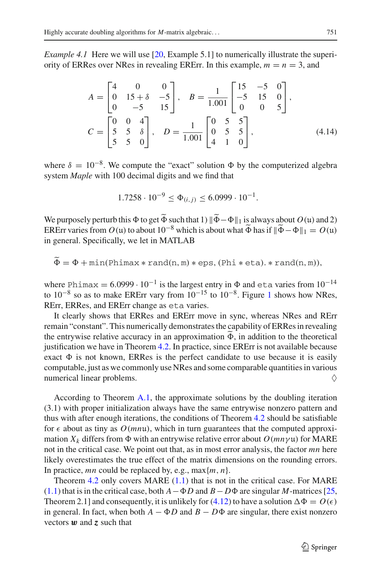*Example 4.1* Here we will use [\[20,](#page-34-0) Example 5.1] to numerically illustrate the superiority of ERRes over NRes in revealing ERErr. In this example,  $m = n = 3$ , and

$$
A = \begin{bmatrix} 4 & 0 & 0 \\ 0 & 15 + \delta & -5 \\ 0 & -5 & 15 \end{bmatrix}, \quad B = \frac{1}{1.001} \begin{bmatrix} 15 & -5 & 0 \\ -5 & 15 & 0 \\ 0 & 0 & 5 \end{bmatrix},
$$
  

$$
C = \begin{bmatrix} 0 & 0 & 4 \\ 5 & 5 & \delta \\ 5 & 5 & 0 \end{bmatrix}, \quad D = \frac{1}{1.001} \begin{bmatrix} 0 & 5 & 5 \\ 0 & 5 & 5 \\ 4 & 1 & 0 \end{bmatrix},
$$
 (4.14)

where  $\delta = 10^{-8}$ . We compute the "exact" solution  $\Phi$  by the computerized algebra system *Maple* with 100 decimal digits and we find that

$$
1.7258 \cdot 10^{-9} \le \Phi_{(i,j)} \le 6.0999 \cdot 10^{-1}.
$$

We purposely perturb this  $\Phi$  to get  $\Phi$  such that  $1$ )  $\|\Phi - \Phi\|_1$  is always about  $O(u)$  and 2)<br>EP Em varies from  $O(u)$  to show  $10^{-8}$  which is show what  $\widetilde{\Phi}$  has if  $\|\widetilde{\Phi} - \Phi\|_1 = O(u)$ ERErr varies from  $O(u)$  to about  $10^{-8}$  which is about what  $\tilde{\Phi}$  has if  $\|\tilde{\Phi} - \Phi\|_1 = O(u)$ in general. Specifically, we let in MATLAB

$$
\tilde{\Phi} = \Phi + \min(\text{Phimax} * \text{rand}(n, m) * \text{eps}, (\text{Phi} * \text{eta}). * \text{rand}(n, m)),
$$

where Phimax =  $6.0999 \cdot 10^{-1}$  is the largest entry in  $\Phi$  and eta varies from  $10^{-14}$ to  $10^{-8}$  $10^{-8}$  so as to make ERErr vary from  $10^{-15}$  to  $10^{-8}$ . Figure 1 shows how NRes, RErr, ERRes, and ERErr change as eta varies.

It clearly shows that ERRes and ERErr move in sync, whereas NRes and RErr remain "constant". This numerically demonstrates the capability of ERRes in revealing the entrywise relative accuracy in an approximation  $\Phi$ , in addition to the theoretical<br>institution we have in Theorem 4.2. In prestice, since EPE wis not switch because justification we have in Theorem [4.2.](#page-17-2) In practice, since ERErr is not available because exact  $\Phi$  is not known, ERRes is the perfect candidate to use because it is easily computable, just as we commonly use NRes and some comparable quantities in various numerical linear problems.  $\Diamond$ 

According to Theorem [A.1,](#page-32-0) the approximate solutions by the doubling iteration (3.1) with proper initialization always have the same entrywise nonzero pattern and thus with after enough iterations, the conditions of Theorem [4.2](#page-17-2) should be satisfiable for  $\epsilon$  about as tiny as  $O(mnu)$ , which in turn guarantees that the computed approximation  $X_k$  differs from  $\Phi$  with an entrywise relative error about  $O(mn\gamma\mathfrak{u})$  for MARE not in the critical case. We point out that, as in most error analysis, the factor *mn* here likely overestimates the true effect of the matrix dimensions on the rounding errors. In practice, *mn* could be replaced by, e.g., max{*m*, *n*}.

Theorem [4.2](#page-17-2) only covers MARE [\(1.1\)](#page-1-0) that is not in the critical case. For MARE [\(1.1\)](#page-1-0) that is in the critical case, both  $A - \Phi D$  and  $B - D\Phi$  are singular *M*-matrices [\[25,](#page-34-19) Theorem 2.1] and consequently, it is unlikely for [\(4.12\)](#page-17-0) to have a solution  $\Delta \Phi = O(\epsilon)$ in general. In fact, when both  $A - \Phi D$  and  $B - D\Phi$  are singular, there exist nonzero vectors w and *z* such that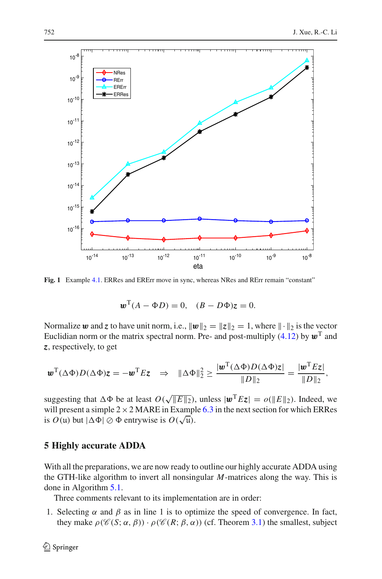

<span id="page-19-1"></span>**Fig. 1** Example [4.1.](#page-17-3) ERRes and ERErr move in sync, whereas NRes and RErr remain "constant"

$$
\mathbf{w}^{\mathrm{T}}(A - \Phi D) = 0, \quad (B - D\Phi)\mathbf{z} = 0.
$$

Normalize *w* and *z* to have unit norm, i.e.,  $\|\boldsymbol{w}\|_2 = \|z\|_2 = 1$ , where  $\|\cdot\|_2$  is the vector Euclidian norm or the matrix spectral norm. Pre- and post-multiply [\(4.12\)](#page-17-0) by  $\mathbf{w}^T$  and *z*, respectively, to get

$$
\boldsymbol{w}^{\mathrm{T}}(\Delta \Phi)D(\Delta \Phi)\boldsymbol{z} = -\boldsymbol{w}^{\mathrm{T}}E\boldsymbol{z} \quad \Rightarrow \quad \|\Delta \Phi\|_2^2 \geq \frac{|\boldsymbol{w}^{\mathrm{T}}(\Delta \Phi)D(\Delta \Phi)\boldsymbol{z}|}{\|D\|_2} = \frac{|\boldsymbol{w}^{\mathrm{T}}E\boldsymbol{z}|}{\|D\|_2},
$$

suggesting that  $\Delta \Phi$  be at least  $O(\sqrt{||E||_2})$ , unless  $|\mathbf{w}^T E \mathbf{z}| = o(||E||_2)$ . Indeed, we will present a simple  $2 \times 2$  MARE in Example [6.3](#page-26-0) in the next section for which ERRes is  $O(u)$  but  $|\Delta \Phi| \otimes \Phi$  entrywise is  $O(\sqrt{u})$ .

#### <span id="page-19-0"></span>**5 Highly accurate ADDA**

With all the preparations, we are now ready to outline our highly accurate ADDA using the GTH-like algorithm to invert all nonsingular *M*-matrices along the way. This is done in Algorithm [5.1.](#page-20-0)

Three comments relevant to its implementation are in order:

1. Selecting  $\alpha$  and  $\beta$  as in line 1 is to optimize the speed of convergence. In fact, they make  $\rho(\mathscr{C}(S; \alpha, \beta)) \cdot \rho(\mathscr{C}(R; \beta, \alpha))$  (cf. Theorem [3.1\)](#page-8-0) the smallest, subject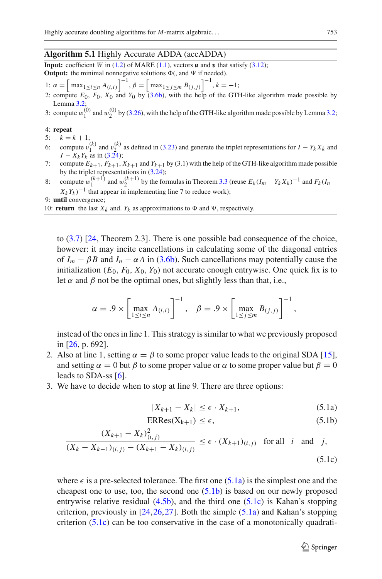#### **Algorithm 5.1** Highly Accurate ADDA (accADDA)

<span id="page-20-0"></span>**Input:** coefficient *W* in [\(1.2\)](#page-1-1) of MARE [\(1.1\)](#page-1-0), vectors  $\boldsymbol{u}$  and  $\boldsymbol{v}$  that satisfy [\(3.12\)](#page-9-0); **Output:** the minimal nonnegative solutions  $\Phi$ (, and  $\Psi$  if needed).

- 1:  $\alpha = \left[\max_{1 \le i \le n} A_{(i,i)}\right]^{-1}, \beta = \left[\max_{1 \le j \le m} B_{(j,j)}\right]^{-1}, k = -1;$
- 2: compute *E*0, *F*0, *X*0 and *Y*0 by [\(3.6b\)](#page-7-4), with the help of the GTH-like algorithm made possible by Lemma [3.2;](#page-13-1)
- 3: compute  $w_1^{(0)}$  and  $w_2^{(0)}$  by [\(3.26\)](#page-13-0), with the help of the GTH-like algorithm made possible by Lemma [3.2;](#page-13-1)

#### 4: **repeat**

- 5:  $k = k + 1$ ;
- 6: compute  $v_1^{(k)}$  and  $v_2^{(k)}$  as defined in [\(3.23\)](#page-12-4) and generate the triplet representations for  $I Y_k X_k$  and  $I - X_k Y_k$  as in [\(3.24\)](#page-13-2);
- 7: compute  $E_{k+1}$ ,  $F_{k+1}$ ,  $X_{k+1}$  and  $Y_{k+1}$  by (3.1) with the help of the GTH-like algorithm made possible by the triplet representations in [\(3.24\)](#page-13-2);
- 8: compute  $w_1^{(k+1)}$  and  $w_2^{(k+1)}$  by the formulas in Theorem [3.3](#page-14-1) (reuse  $E_k (I_m Y_k X_k)^{-1}$  and  $F_k (I_n Y_k X_k)^{-1}$  $X_k Y_k$ )<sup>−1</sup> that appear in implementing line 7 to reduce work);

9: **until** convergence;

10: **return** the last  $X_k$  and.  $Y_k$  as approximations to  $\Phi$  and  $\Psi$ , respectively.

to [\(3.7\)](#page-8-1) [\[24](#page-34-12), Theorem 2.3]. There is one possible bad consequence of the choice, however: it may incite cancellations in calculating some of the diagonal entries of  $I_m - \beta B$  and  $I_n - \alpha A$  in [\(3.6b\)](#page-7-4). Such cancellations may potentially cause the initialization  $(E_0, F_0, X_0, Y_0)$  not accurate enough entrywise. One quick fix is to let  $\alpha$  and  $\beta$  not be the optimal ones, but slightly less than that, i.e.,

$$
\alpha = .9 \times \left[ \max_{1 \le i \le n} A_{(i,i)} \right]^{-1}, \quad \beta = .9 \times \left[ \max_{1 \le j \le m} B_{(j,j)} \right]^{-1},
$$

instead of the ones in line 1. This strategy is similar to what we previously proposed in [\[26](#page-34-9), p. 692].

- 2. Also at line 1, setting  $\alpha = \beta$  to some proper value leads to the original SDA [\[15](#page-34-4)], and setting  $\alpha = 0$  but  $\beta$  to some proper value or  $\alpha$  to some proper value but  $\beta = 0$ leads to SDA-ss [\[6](#page-34-11)].
- 3. We have to decide when to stop at line 9. There are three options:

$$
|X_{k+1} - X_k| \le \epsilon \cdot X_{k+1},\tag{5.1a}
$$

$$
ERRes(X_{k+1}) \le \epsilon,\tag{5.1b}
$$

<span id="page-20-1"></span>
$$
\frac{(X_{k+1} - X_k)_{(i,j)}^2}{(X_k - X_{k-1})(i,j) - (X_{k+1} - X_k)(i,j)} \le \epsilon \cdot (X_{k+1})(i,j) \text{ for all } i \text{ and } j,
$$
\n(5.1c)

where  $\epsilon$  is a pre-selected tolerance. The first one [\(5.1a\)](#page-20-1) is the simplest one and the cheapest one to use, too, the second one  $(5.1b)$  is based on our newly proposed entrywise relative residual  $(4.5b)$ , and the third one  $(5.1c)$  is Kahan's stopping criterion, previously in  $[24, 26, 27]$  $[24, 26, 27]$  $[24, 26, 27]$ . Both the simple  $(5.1a)$  and Kahan's stopping criterion [\(5.1c\)](#page-20-1) can be too conservative in the case of a monotonically quadrati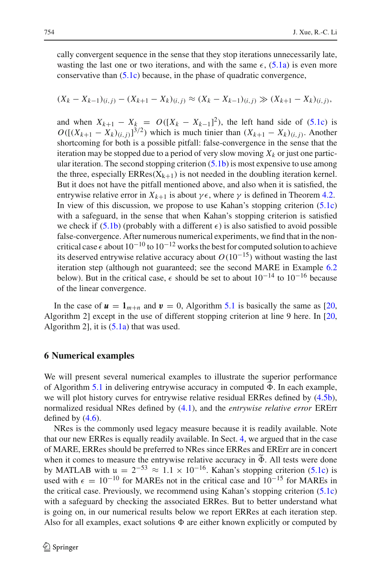cally convergent sequence in the sense that they stop iterations unnecessarily late, wasting the last one or two iterations, and with the same  $\epsilon$ , [\(5.1a\)](#page-20-1) is even more conservative than [\(5.1c\)](#page-20-1) because, in the phase of quadratic convergence,

$$
(X_k - X_{k-1})_{(i,j)} - (X_{k+1} - X_k)_{(i,j)} \approx (X_k - X_{k-1})_{(i,j)} \gg (X_{k+1} - X_k)_{(i,j)},
$$

and when  $X_{k+1} - X_k = O([X_k - X_{k-1}]^2)$ , the left hand side of [\(5.1c\)](#page-20-1) is  $O([((X_{k+1} - X_k)_{(i,j)})]^{3/2})$  which is much tinier than  $(X_{k+1} - X_k)_{(i,j)}$ . Another shortcoming for both is a possible pitfall: false-convergence in the sense that the iteration may be stopped due to a period of very slow moving  $X_k$  or just one particular iteration. The second stopping criterion  $(5.1b)$  is most expensive to use among the three, especially  $ERRes(X_{k+1})$  is not needed in the doubling iteration kernel. But it does not have the pitfall mentioned above, and also when it is satisfied, the entrywise relative error in  $X_{k+1}$  is about  $\gamma \epsilon$ , where  $\gamma$  is defined in Theorem [4.2.](#page-17-2) In view of this discussion, we propose to use Kahan's stopping criterion [\(5.1c\)](#page-20-1) with a safeguard, in the sense that when Kahan's stopping criterion is satisfied we check if [\(5.1b\)](#page-20-1) (probably with a different  $\epsilon$ ) is also satisfied to avoid possible false-convergence. After numerous numerical experiments, we find that in the noncritical case  $\epsilon$  about  $10^{-10}$  to  $10^{-12}$  works the best for computed solution to achieve its deserved entrywise relative accuracy about  $O(10^{-15})$  without wasting the last iteration step (although not guaranteed; see the second MARE in Example [6.2](#page-22-0) below). But in the critical case,  $\epsilon$  should be set to about  $10^{-14}$  to  $10^{-16}$  because of the linear convergence.

In the case of  $u = 1_{m+n}$  and  $v = 0$ , Algorithm [5.1](#page-20-0) is basically the same as [\[20,](#page-34-0) Algorithm 2] except in the use of different stopping criterion at line 9 here. In [\[20,](#page-34-0) Algorithm 2], it is  $(5.1a)$  that was used.

#### <span id="page-21-0"></span>**6 Numerical examples**

We will present several numerical examples to illustrate the superior performance of Algorithm [5.1](#page-20-0) in delivering entrywise accuracy in computed  $\Phi$ . In each example,<br>use will also history survey for entrywise relative residual EDD as defined by  $(4.5)$ . we will plot history curves for entrywise relative residual ERRes defined by [\(4.5b\)](#page-16-2), normalized residual NRes defined by [\(4.1\)](#page-15-4), and the *entrywise relative error* ERErr defined by  $(4.6)$ .

NRes is the commonly used legacy measure because it is readily available. Note that our new ERRes is equally readily available. In Sect. [4,](#page-15-0) we argued that in the case of MARE, ERRes should be preferred to NRes since ERRes and ERErr are in concert when it comes to measure the entrywise relative accuracy in  $\Phi$ . All tests were done<br>by MATLAD with  $\mu = 2^{-53}$ ,  $\Omega + 1.1 \times 10^{-16}$ . Kahar's standing exitation (5.1a) is by MATLAB with  $\mu = 2^{-53} \approx 1.1 \times 10^{-16}$ . Kahan's stopping criterion [\(5.1c\)](#page-20-1) is used with  $\epsilon = 10^{-10}$  for MAREs not in the critical case and  $10^{-15}$  for MAREs in the critical case. Previously, we recommend using Kahan's stopping criterion [\(5.1c\)](#page-20-1) with a safeguard by checking the associated ERRes. But to better understand what is going on, in our numerical results below we report ERRes at each iteration step. Also for all examples, exact solutions  $\Phi$  are either known explicitly or computed by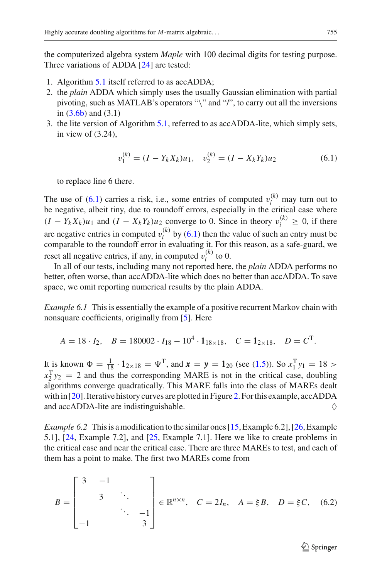the computerized algebra system *Maple* with 100 decimal digits for testing purpose. Three variations of ADDA [\[24\]](#page-34-12) are tested:

- 1. Algorithm [5.1](#page-20-0) itself referred to as accADDA;
- 2. the *plain* ADDA which simply uses the usually Gaussian elimination with partial pivoting, such as MATLAB's operators "\" and "/", to carry out all the inversions in [\(3.6b\)](#page-7-4) and (3.1)
- 3. the lite version of Algorithm [5.1,](#page-20-0) referred to as accADDA-lite, which simply sets, in view of (3.24),

$$
v_1^{(k)} = (I - Y_k X_k)u_1, \quad v_2^{(k)} = (I - X_k Y_k)u_2 \tag{6.1}
$$

<span id="page-22-1"></span>to replace line 6 there.

The use of  $(6.1)$  carries a risk, i.e., some entries of computed  $v_i^{(k)}$  may turn out to be negative, albeit tiny, due to roundoff errors, especially in the critical case where  $(I - Y_k X_k)u_1$  and  $(I - X_k Y_k)u_2$  converge to 0. Since in theory  $v_i^{(k)} \geq 0$ , if there are negative entries in computed  $v_i^{(k)}$  by [\(6.1\)](#page-22-1) then the value of such an entry must be comparable to the roundoff error in evaluating it. For this reason, as a safe-guard, we reset all negative entries, if any, in computed  $v_i^{(k)}$  to 0.

In all of our tests, including many not reported here, the *plain* ADDA performs no better, often worse, than accADDA-lite which does no better than accADDA. To save space, we omit reporting numerical results by the plain ADDA.

<span id="page-22-2"></span>*Example 6.1* This is essentially the example of a positive recurrent Markov chain with nonsquare coefficients, originally from [\[5](#page-34-24)]. Here

$$
A = 18 \cdot I_2, \quad B = 180002 \cdot I_{18} - 10^4 \cdot 1_{18 \times 18}, \quad C = 1_{2 \times 18}, \quad D = C^{\mathrm{T}}.
$$

It is known  $\Phi = \frac{1}{18} \cdot \mathbf{1}_{2 \times 18} = \Psi^{T}$ , and  $\mathbf{x} = \mathbf{y} = \mathbf{1}_{20}$  (see [\(1.5\)](#page-2-2)). So  $x_1^T y_1 = 18$  $x_2^T y_2 = 2$  and thus the corresponding MARE is not in the critical case, doubling algorithms converge quadratically. This MARE falls into the class of MAREs dealt with in [\[20](#page-34-0)]. Iterative history curves are plotted in Figure [2.](#page-23-0) For this example, accADDA and accADDA-lite are indistinguishable.  $\Diamond$ 

<span id="page-22-0"></span>*Example 6.2* This is a modification to the similar ones [\[15](#page-34-4), Example 6.2], [\[26,](#page-34-9) Example 5.1], [\[24](#page-34-12), Example 7.2], and [\[25,](#page-34-19) Example 7.1]. Here we like to create problems in the critical case and near the critical case. There are three MAREs to test, and each of them has a point to make. The first two MAREs come from

<span id="page-22-3"></span>
$$
B = \begin{bmatrix} 3 & -1 & & \\ & 3 & \ddots & \\ & & \ddots & -1 \\ -1 & & & 3 \end{bmatrix} \in \mathbb{R}^{n \times n}, \quad C = 2I_n, \quad A = \xi B, \quad D = \xi C, \quad (6.2)
$$

 $\mathcal{L}$  Springer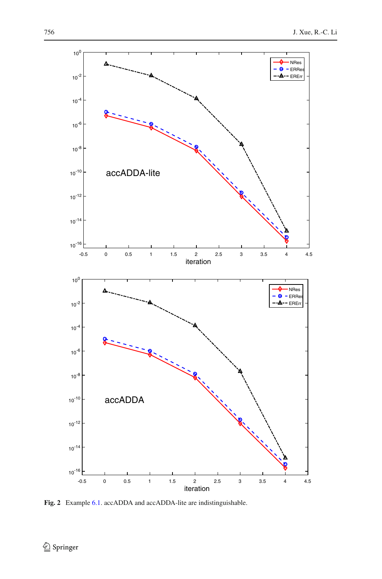

<span id="page-23-0"></span>**Fig. 2** Example [6.1.](#page-22-2) accADDA and accADDA-lite are indistinguishable.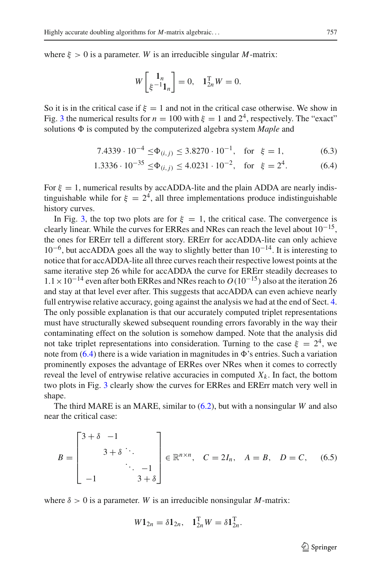where  $\xi > 0$  is a parameter. *W* is an irreducible singular *M*-matrix:

<span id="page-24-0"></span>
$$
W\begin{bmatrix} \mathbf{1}_n \\ \xi^{-1} \mathbf{1}_n \end{bmatrix} = 0, \quad \mathbf{1}_{2n}^{\mathrm{T}} W = 0.
$$

So it is in the critical case if  $\xi = 1$  and not in the critical case otherwise. We show in Fig. [3](#page-25-0) the numerical results for  $n = 100$  with  $\xi = 1$  and  $2^4$ , respectively. The "exact" solutions  $\Phi$  is computed by the computerized algebra system *Maple* and

$$
7.4339 \cdot 10^{-4} \le \Phi_{(i,j)} \le 3.8270 \cdot 10^{-1}, \text{ for } \xi = 1,
$$
 (6.3)

$$
1.3336 \cdot 10^{-35} \le \Phi_{(i,j)} \le 4.0231 \cdot 10^{-2}, \text{ for } \xi = 2^4. \tag{6.4}
$$

For  $\xi = 1$ , numerical results by accADDA-lite and the plain ADDA are nearly indistinguishable while for  $\xi = 2^4$ , all three implementations produce indistinguishable history curves.

In Fig. [3,](#page-25-0) the top two plots are for  $\xi = 1$ , the critical case. The convergence is clearly linear. While the curves for ERRes and NRes can reach the level about  $10^{-15}$ , the ones for ERErr tell a different story. ERErr for accADDA-lite can only achieve  $10^{-6}$ , but accADDA goes all the way to slightly better than  $10^{-14}$ . It is interesting to notice that for accADDA-lite all three curves reach their respective lowest points at the same iterative step 26 while for accADDA the curve for ERErr steadily decreases to  $1.1 \times 10^{-14}$  even after both ERRes and NRes reach to  $O(10^{-15})$  also at the iteration 26 and stay at that level ever after. This suggests that accADDA can even achieve nearly full entrywise relative accuracy, going against the analysis we had at the end of Sect. [4.](#page-15-0) The only possible explanation is that our accurately computed triplet representations must have structurally skewed subsequent rounding errors favorably in the way their contaminating effect on the solution is somehow damped. Note that the analysis did not take triplet representations into consideration. Turning to the case  $\xi = 2^4$ , we note from  $(6.4)$  there is a wide variation in magnitudes in  $\Phi$ 's entries. Such a variation prominently exposes the advantage of ERRes over NRes when it comes to correctly reveal the level of entrywise relative accuracies in computed  $X_k$ . In fact, the bottom two plots in Fig. [3](#page-25-0) clearly show the curves for ERRes and ERErr match very well in shape.

The third MARE is an MARE, similar to [\(6.2\)](#page-22-3), but with a nonsingular *W* and also near the critical case:

$$
B = \begin{bmatrix} 3+\delta & -1 \\ & 3+\delta & \ddots \\ & & \ddots & -1 \\ & & & 3+\delta \end{bmatrix} \in \mathbb{R}^{n \times n}, \quad C = 2I_n, \quad A = B, \quad D = C, \quad (6.5)
$$

<span id="page-24-1"></span>where  $\delta > 0$  is a parameter. *W* is an irreducible nonsingular *M*-matrix:

$$
W\mathbf{1}_{2n}=\delta\mathbf{1}_{2n},\quad \mathbf{1}_{2n}^{\mathrm{T}}W=\delta\mathbf{1}_{2n}^{\mathrm{T}}.
$$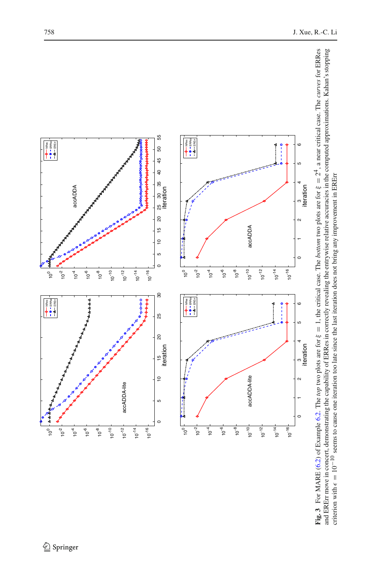<span id="page-25-0"></span>

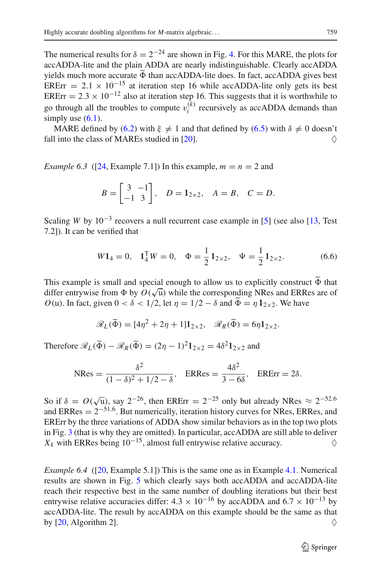The numerical results for  $\delta = 2^{-24}$  are shown in Fig. [4.](#page-27-0) For this MARE, the plots for accADDA-lite and the plain ADDA are nearly indistinguishable. Clearly accADDA yields much more accurate  $\Phi$  than accADDA-lite does. In fact, accADDA gives best<br>EPE<sub>T</sub>  $\frac{2.1 \times 10^{-15}}{2.5 \times 10^{-15}}$  at iteration atom 16 while age ADDA lite and use its best ERErr =  $2.1 \times 10^{-15}$  at iteration step 16 while accADDA-lite only gets its best ERErr =  $2.3 \times 10^{-12}$  also at iteration step 16. This suggests that it is worthwhile to go through all the troubles to compute  $v_i^{(k)}$  recursively as accADDA demands than simply use  $(6.1)$ .

MARE defined by [\(6.2\)](#page-22-3) with  $\xi \neq 1$  and that defined by [\(6.5\)](#page-24-1) with  $\delta \neq 0$  doesn't l into the class of MAREs studied in [20]. fall into the class of MAREs studied in  $[20]$ .

<span id="page-26-0"></span>*Example 6.3* ([\[24](#page-34-12), Example 7.1]) In this example,  $m = n = 2$  and

$$
B = \begin{bmatrix} 3 & -1 \\ -1 & 3 \end{bmatrix}
$$
,  $D = 1_{2 \times 2}$ ,  $A = B$ ,  $C = D$ .

Scaling *W* by  $10^{-3}$  recovers a null recurrent case example in [\[5\]](#page-34-24) (see also [\[13](#page-34-18), Test 7.2]). It can be verified that

$$
W1_4 = 0
$$
,  $1_4^T W = 0$ ,  $\Phi = \frac{1}{2} 1_{2 \times 2}$ ,  $\Psi = \frac{1}{2} 1_{2 \times 2}$ . (6.6)

This example is small and special enough to allow us to explicitly construct  $\Phi$  that different wine from  $\Phi$  by  $O(\sqrt{n})$  while the corresponding NB as and EBB as are of differ entrywise from  $\Phi$  by  $O(\sqrt{u})$  while the corresponding NRes and ERRes are of *O*(u). In fact, given  $0 < \delta < 1/2$ , let  $\eta = 1/2 - \delta$  and  $\Phi = \eta \mathbb{1}_{2 \times 2}$ . We have

$$
\mathscr{R}_L(\widetilde{\Phi}) = [4\eta^2 + 2\eta + 1]1_{2\times 2}, \quad \mathscr{R}_R(\widetilde{\Phi}) = 6\eta 1_{2\times 2}.
$$

Therefore  $\mathcal{R}_L(\tilde{\Phi}) - \mathcal{R}_R(\tilde{\Phi}) = (2\eta - 1)^2 \mathbf{1}_{2 \times 2} = 4\delta^2 \mathbf{1}_{2 \times 2}$  and

$$
\text{NRes} = \frac{\delta^2}{(1-\delta)^2 + 1/2 - \delta}, \quad \text{ERRes} = \frac{4\delta^2}{3 - 6\delta}, \quad \text{ERErr} = 2\delta.
$$

So if  $\delta = O(\sqrt{\mu})$ , say  $2^{-26}$ , then ERErr =  $2^{-25}$  only but already NRes  $\approx 2^{-52.6}$ and ERRes  $= 2^{-51.6}$ . But numerically, iteration history curves for NRes, ERRes, and ERErr by the three variations of ADDA show similar behaviors as in the top two plots in Fig. [3](#page-25-0) (that is why they are omitted). In particular, accADDA are still able to deliver  $X_k$  with ERRes being 10<sup>-15</sup>, almost full entrywise relative accuracy.  $\diamond$ 

<span id="page-26-1"></span>*Example 6.4* ([\[20](#page-34-0), Example 5.1]) This is the same one as in Example [4.1.](#page-17-3) Numerical results are shown in Fig. [5](#page-28-0) which clearly says both accADDA and accADDA-lite reach their respective best in the same number of doubling iterations but their best entrywise relative accuracies differ:  $4.3 \times 10^{-16}$  by accADDA and  $6.7 \times 10^{-13}$  by accADDA-lite. The result by accADDA on this example should be the same as that by [\[20](#page-34-0), Algorithm 2].  $\diamondsuit$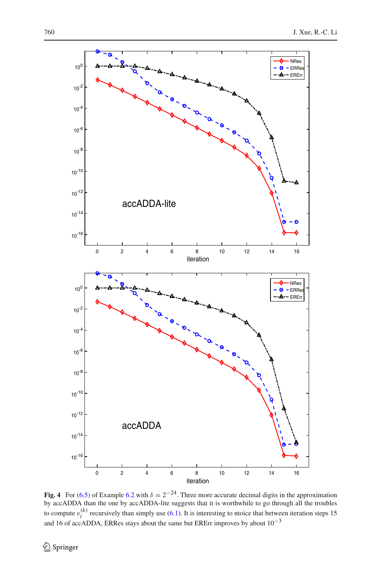

<span id="page-27-0"></span>**Fig. 4** For [\(6.5\)](#page-24-1) of Example [6.2](#page-22-0) with  $\delta = 2^{-24}$ . Three more accurate decimal digits in the approximation by accADDA than the one by accADDA-lite suggests that it is worthwhile to go through all the troubles to compute  $v_i^{(k)}$  recursively than simply use [\(6.1\)](#page-22-1). It is interesting to ntoice that between iteration steps 15 and 16 of accADDA, ERRes stays about the same but ERErr improves by about  $10^{-3}$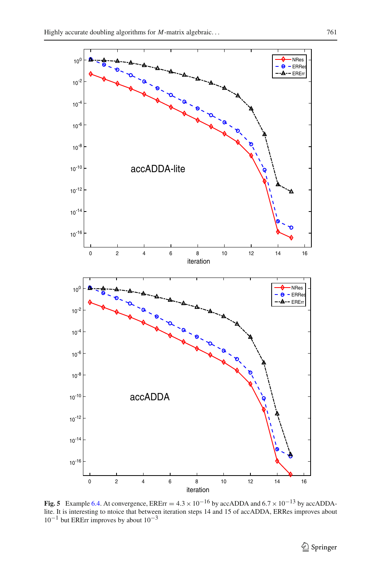

<span id="page-28-0"></span>**Fig. 5** Example [6.4.](#page-26-1) At convergence, ERE $rr = 4.3 \times 10^{-16}$  by accADDA and  $6.7 \times 10^{-13}$  by accADDAlite. It is interesting to ntoice that between iteration steps 14 and 15 of accADDA, ERRes improves about  $10^{-1}$  but ERErr improves by about  $10^{-3}$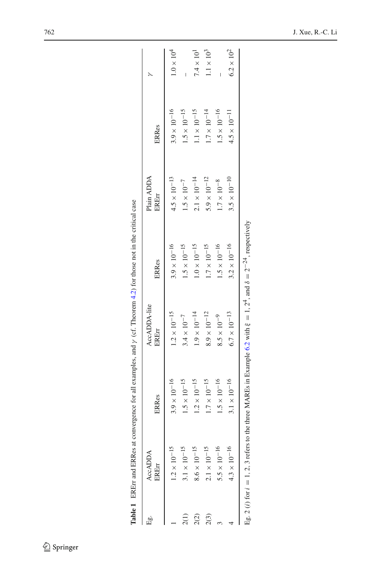| is<br>Li       | <b>AccADDA</b><br>ERErr | <b>ERRes</b>        | AccADDA-lite<br>EREn | <b>ERRes</b>        | Plain ADDA<br>EREIT | <b>ERRes</b>        |                   |
|----------------|-------------------------|---------------------|----------------------|---------------------|---------------------|---------------------|-------------------|
|                | $1.2\times10^{-15}$     | $3.9\times10^{-16}$ | $1.2\times10^{-15}$  | $3.9\times10^{-16}$ | $4.5\times10^{-13}$ | $3.9\times10^{-16}$ | $1.0\times10^4$   |
|                | $3.1\times10^{-15}$     | $1.5\times10^{-15}$ | $3.4 \times 10^{-7}$ | $1.5\times10^{-15}$ | $1.5\times10^{-7}$  | $1.5\times10^{-15}$ |                   |
|                | $8.6\times10^{-15}$     | $1.2\times10^{-15}$ | $1.9\times10^{-14}$  | $1.0\times10^{-15}$ | $2.1\times10^{-14}$ | $1.1\times10^{-15}$ | $7.4\times10^{1}$ |
| $\tilde{c}(3)$ | $2.1\times10^{-15}$     | $1.7\times10^{-15}$ | $8.9\times10^{-12}$  | $1.7\times10^{-15}$ | $5.9\times10^{-12}$ | $1.7\times10^{-14}$ | $1.1\times10^3$   |
|                | $5.5\times10^{-16}$     | $1.5\times10^{-16}$ | $8.5\times10^{-9}$   | $1.5\times10^{-16}$ | $1.7\times10^{-8}$  | $1.5\times10^{-16}$ |                   |
|                | $4.3\times10^{-16}$     | $3.1\times10^{-16}$ | $6.7\times10^{-13}$  | $3.2\times10^{-16}$ | $3.5\times10^{-10}$ | $4.5\times10^{-11}$ | $6.2\times10^2$   |

| Ì                  |  |
|--------------------|--|
|                    |  |
|                    |  |
|                    |  |
|                    |  |
|                    |  |
|                    |  |
|                    |  |
|                    |  |
|                    |  |
| į                  |  |
| ţ                  |  |
|                    |  |
| .<br>.<br>.        |  |
|                    |  |
|                    |  |
|                    |  |
|                    |  |
|                    |  |
|                    |  |
|                    |  |
|                    |  |
|                    |  |
|                    |  |
|                    |  |
| ׀<br> }            |  |
|                    |  |
| l                  |  |
| i<br>$\frac{1}{2}$ |  |
| f<br>¢             |  |
|                    |  |

<span id="page-29-0"></span> $\underline{\textcircled{\tiny 2}}$  Springer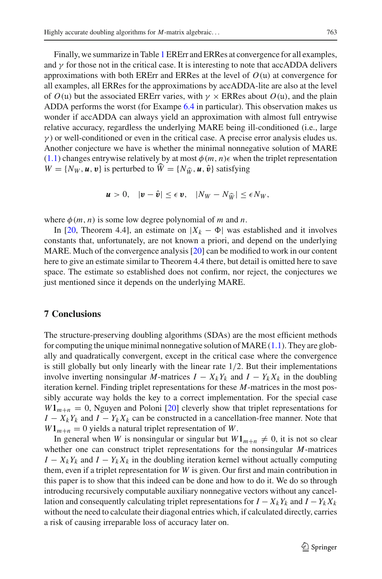Finally, we summarize in Table [1](#page-29-0) ERErr and ERRes at convergence for all examples, and  $\gamma$  for those not in the critical case. It is interesting to note that accADDA delivers approximations with both ERErr and ERRes at the level of  $O(u)$  at convergence for all examples, all ERRes for the approximations by accADDA-lite are also at the level of  $O(u)$  but the associated ERErr varies, with  $\gamma \times$  ERRes about  $O(u)$ , and the plain ADDA performs the worst (for Exampe [6.4](#page-26-1) in particular). This observation makes us wonder if accADDA can always yield an approximation with almost full entrywise relative accuracy, regardless the underlying MARE being ill-conditioned (i.e., large  $\gamma$ ) or well-conditioned or even in the critical case. A precise error analysis eludes us. Another conjecture we have is whether the minimal nonnegative solution of MARE [\(1.1\)](#page-1-0) changes entrywise relatively by at most  $\phi(m, n)$  when the triplet representation  $W = \{N_W, u, v\}$  is perturbed to  $\hat{W} = \{N_{\hat{W}}, u, \hat{v}\}$  satisfying

$$
\boldsymbol{u} > 0, \quad |\boldsymbol{v} - \hat{\boldsymbol{v}}| \leq \epsilon \, \boldsymbol{v}, \quad |N_W - N_{\widehat{W}}| \leq \epsilon N_W,
$$

where  $\phi(m, n)$  is some low degree polynomial of *m* and *n*.

In [\[20](#page-34-0), Theorem 4.4], an estimate on  $|X_k - \Phi|$  was established and it involves constants that, unfortunately, are not known a priori, and depend on the underlying MARE. Much of the convergence analysis [\[20](#page-34-0)] can be modified to work in our content here to give an estimate similar to Theorem 4.4 there, but detail is omitted here to save space. The estimate so established does not confirm, nor reject, the conjectures we just mentioned since it depends on the underlying MARE.

## <span id="page-30-0"></span>**7 Conclusions**

The structure-preserving doubling algorithms (SDAs) are the most efficient methods for computing the unique minimal nonnegative solution of MARE  $(1.1)$ . They are globally and quadratically convergent, except in the critical case where the convergence is still globally but only linearly with the linear rate  $1/2$ . But their implementations involve inverting nonsingular *M*-matrices  $I - X_k Y_k$  and  $I - Y_k X_k$  in the doubling iteration kernel. Finding triplet representations for these *M*-matrices in the most possibly accurate way holds the key to a correct implementation. For the special case  $W1_{m+n} = 0$ , Nguyen and Poloni [\[20\]](#page-34-0) cleverly show that triplet representations for  $I - X_k Y_k$  and  $I - Y_k X_k$  can be constructed in a cancellation-free manner. Note that  $W1_{m+n} = 0$  yields a natural triplet representation of *W*.

In general when *W* is nonsingular or singular but  $W1_{m+n} \neq 0$ , it is not so clear whether one can construct triplet representations for the nonsingular *M*-matrices  $I - X_k Y_k$  and  $I - Y_k X_k$  in the doubling iteration kernel without actually computing them, even if a triplet representation for *W* is given. Our first and main contribution in this paper is to show that this indeed can be done and how to do it. We do so through introducing recursively computable auxiliary nonnegative vectors without any cancellation and consequently calculating triplet representations for  $I - X_k Y_k$  and  $I - Y_k X_k$ without the need to calculate their diagonal entries which, if calculated directly, carries a risk of causing irreparable loss of accuracy later on.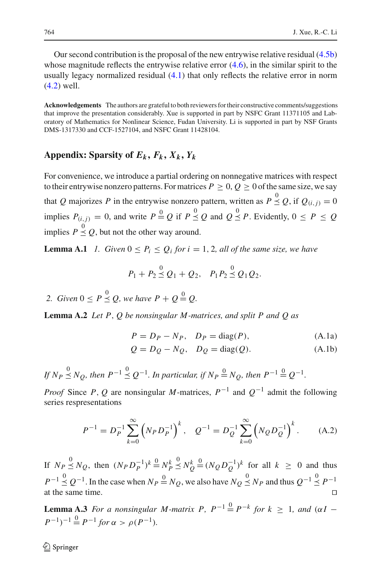Our second contribution is the proposal of the new entrywise relative residual [\(4.5b\)](#page-16-2) whose magnitude reflects the entrywise relative error  $(4.6)$ , in the similar spirit to the usually legacy normalized residual [\(4.1\)](#page-15-4) that only reflects the relative error in norm [\(4.2\)](#page-15-3) well.

**Acknowledgements** The authors are grateful to both reviewers for their constructive comments/suggestions that improve the presentation considerably. Xue is supported in part by NSFC Grant 11371105 and Laboratory of Mathematics for Nonlinear Science, Fudan University. Li is supported in part by NSF Grants DMS-1317330 and CCF-1527104, and NSFC Grant 11428104.

## Appendix: Sparsity of  $E_k$ ,  $F_k$ ,  $X_k$ ,  $Y_k$

For convenience, we introduce a partial ordering on nonnegative matrices with respect to their entrywise nonzero patterns. For matrices  $P \ge 0$ ,  $Q \ge 0$  of the same size, we say that *Q* majorizes *P* in the entrywise nonzero pattern, written as  $P \stackrel{0}{\leq} Q$ , if  $Q_{(i,j)} = 0$ implies  $P_{(i,j)} = 0$ , and write  $P \stackrel{0}{=} Q$  if  $P \stackrel{0}{\leq} Q$  and  $Q \stackrel{0}{\leq} P$ . Evidently,  $0 \leq P \leq Q$ implies  $P \stackrel{0}{\leq} Q$ , but not the other way around.

**Lemma A.1** *1. Given*  $0 \le P_i \le Q_i$  *for*  $i = 1, 2$ *, all of the same size, we have* 

$$
P_1 + P_2 \stackrel{0}{\leq} Q_1 + Q_2, \quad P_1 P_2 \stackrel{0}{\leq} Q_1 Q_2.
$$

2. *Given*  $0 \le P \le Q$ , we have  $P + Q = Q$ .

<span id="page-31-1"></span>**Lemma A.2** *Let P*, *Q be nonsingular M -matrices, and split P and Q as*

$$
P = D_P - N_P, \quad D_P = \text{diag}(P), \tag{A.1a}
$$

$$
Q = D_Q - N_Q, \quad D_Q = \text{diag}(Q). \tag{A.1b}
$$

*If*  $N_P \stackrel{0}{\leq} N_Q$ , then  $P^{-1} \stackrel{0}{\leq} Q^{-1}$ . In particular, if  $N_P \stackrel{0}{=} N_Q$ , then  $P^{-1} \stackrel{0}{=} Q^{-1}$ .

*Proof* Since *P*, *Q* are nonsingular *M*-matrices,  $P^{-1}$  and  $Q^{-1}$  admit the following series respresentations

$$
P^{-1} = D_P^{-1} \sum_{k=0}^{\infty} \left( N_P D_P^{-1} \right)^k, \quad Q^{-1} = D_Q^{-1} \sum_{k=0}^{\infty} \left( N_Q D_Q^{-1} \right)^k. \tag{A.2}
$$

<span id="page-31-0"></span>If  $N_P \leq N_Q$ , then  $(N_P D_P^{-1})^k = N_P^k$  $\stackrel{0}{\leq} N_Q^k$  $\stackrel{0}{=} (N_Q D_Q^{-1})^k$  for all  $k \geq 0$  and thus *P*<sup>−1</sup>  $\stackrel{0}{\leq}$  *Q*<sup>−1</sup>. In the case when *N<sub>P</sub>*  $\stackrel{0}{=}$  *N<sub>Q</sub>*, we also have *N*<sub>Q</sub>  $\stackrel{0}{\leq}$  *N<sub>P</sub>* and thus  $Q^{-1}$   $\stackrel{0}{\leq}$  *P*<sup>−1</sup> at the same time. 

<span id="page-31-2"></span>**Lemma A.3** *For a nonsingular M-matrix P,*  $P^{-1} \stackrel{0}{=} P^{-k}$  *for*  $k \geq 1$ *, and* ( $\alpha I$  −  $(P^{-1})^{-1} \stackrel{0}{=} P^{-1}$  *for*  $\alpha > \rho(P^{-1})$ *.*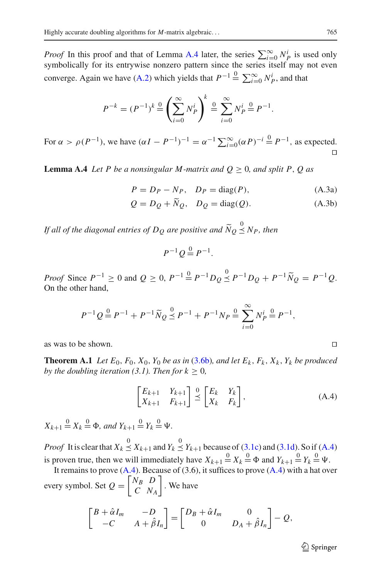*Proof* In this proof and that of Lemma [A.4](#page-32-1) later, the series  $\sum_{i=0}^{\infty} N_p^i$  is used only symbolically for its entrywise nonzero pattern since the series itself may not even converge. Again we have [\(A.2\)](#page-31-0) which yields that  $P^{-1} \triangleq \sum_{i=0}^{\infty} N_P^i$ , and that

$$
P^{-k} = (P^{-1})^k \stackrel{0}{=} \left(\sum_{i=0}^{\infty} N_P^i\right)^k \stackrel{0}{=} \sum_{i=0}^{\infty} N_P^i \stackrel{0}{=} P^{-1}.
$$

For  $\alpha > \rho(P^{-1})$ , we have  $(\alpha I - P^{-1})^{-1} = \alpha^{-1} \sum_{i=0}^{\infty} (\alpha P)^{-i} \stackrel{0}{=} P^{-1}$ , as expected.  $\Box$ 

<span id="page-32-1"></span>**Lemma A.4** *Let P be a nonsingular M-matrix and*  $Q \geq 0$ *, and split P, Q as* 

$$
P = D_P - N_P, \quad D_P = \text{diag}(P), \tag{A.3a}
$$

$$
Q = D_Q + \widetilde{N}_Q, \quad D_Q = \text{diag}(Q). \tag{A.3b}
$$

*If all of the diagonal entries of DQ are positive and N <sup>Q</sup>*  $\leq$  N<sub>P</sub>, then

$$
P^{-1}Q\stackrel{0}{=}P^{-1}.
$$

*Proof* Since  $P^{-1} \ge 0$  and  $Q \ge 0$ ,  $P^{-1} \stackrel{0}{=} P^{-1}D_Q \stackrel{0}{\le} P^{-1}D_Q + P^{-1}\tilde{N}_Q = P^{-1}Q$ . On the other hand,

$$
P^{-1}Q \stackrel{0}{=} P^{-1} + P^{-1}\widetilde{N}_Q \stackrel{0}{\leq} P^{-1} + P^{-1}N_P \stackrel{0}{=} \sum_{i=0}^{\infty} N_P^i \stackrel{0}{=} P^{-1},
$$

<span id="page-32-0"></span>as was to be shown. 

**Theorem A.1** *Let*  $E_0$ ,  $F_0$ ,  $X_0$ ,  $Y_0$  *be as in* [\(3.6b\)](#page-7-4)*, and let*  $E_k$ ,  $F_k$ ,  $X_k$ *,*  $Y_k$  *be produced by the doubling iteration (3.1). Then for*  $k \geq 0$ *,* 

$$
\begin{bmatrix} E_{k+1} & Y_{k+1} \\ X_{k+1} & F_{k+1} \end{bmatrix} \stackrel{0}{\preceq} \begin{bmatrix} E_k & Y_k \\ X_k & F_k \end{bmatrix},
$$
\n(A.4)

<span id="page-32-2"></span> $X_{k+1} \stackrel{0}{=} X_k \stackrel{0}{=} \Phi$ , and  $Y_{k+1} \stackrel{0}{=} Y_k \stackrel{0}{=} \Psi$ .

*Proof* It is clear that  $X_k \stackrel{0}{\leq} X_{k+1}$  and  $Y_k \stackrel{0}{\leq} Y_{k+1}$  because of [\(3.1c\)](#page-5-2) and [\(3.1d\)](#page-5-3). So if [\(A.4\)](#page-32-2) is proven true, then we will immediately have  $X_{k+1} \stackrel{0}{=} X_k \stackrel{0}{=} \Phi$  and  $Y_{k+1} \stackrel{0}{=} Y_k \stackrel{0}{=} \Psi$ .

It remains to prove  $(A.4)$ . Because of  $(3.6)$ , it suffices to prove  $(A.4)$  with a hat over every symbol. Set  $Q = \begin{bmatrix} N_B & D \\ C & N \end{bmatrix}$ *C NA* . We have

$$
\begin{bmatrix} B + \hat{\alpha}I_m & -D \\ -C & A + \hat{\beta}I_n \end{bmatrix} = \begin{bmatrix} D_B + \hat{\alpha}I_m & 0 \\ 0 & D_A + \hat{\beta}I_n \end{bmatrix} - Q,
$$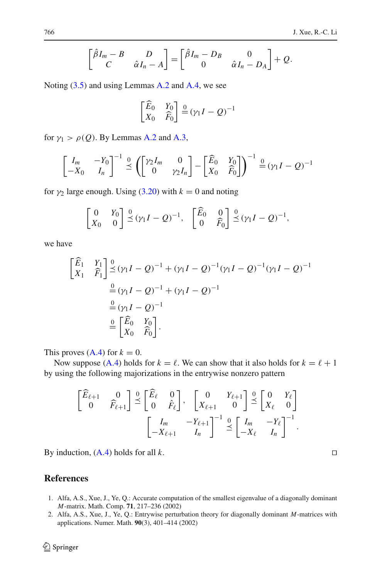$+ Q$ .

$$
\underline{\textcircled{\tiny 2}}
$$
 Springer

By induction, (A.4) holds for all 
$$
k
$$
.  $\Box$ 

 $\begin{bmatrix} \overline{E}_{\ell+1} & 0 \\ 0 & \overline{F}_{\ell+1} \end{bmatrix}$ 

 $\begin{bmatrix} 0 \\ 0 \end{bmatrix}$  $\leq$ 

This proves  $(A.4)$  for  $k = 0$ .

<span id="page-33-0"></span>**References**

- 1. Alfa, A.S., Xue, J., Ye, Q.: Accurate computation of the smallest eigenvalue of a diagonally dominant *M*-matrix. Math. Comp. **71**, 217–236 (2002)
- <span id="page-33-1"></span>2. Alfa, A.S., Xue, J., Ye, Q.: Entrywise perturbation theory for diagonally dominant *M*-matrices with applications. Numer. Math. **90**(3), 401–414 (2002)

$$
f_{\rm{max}}
$$

$$
\begin{bmatrix}\nE_1 & Y_1 \\
X_1 & \widehat{F}_1\n\end{bmatrix} \stackrel{0}{\preceq} (\gamma_1 I - Q)^{-1} + (\gamma_1 I - Q)^{-1} (\gamma_1 I - Q)^{-1} (\gamma_1 I - Q)^{-1}
$$
\n
$$
\stackrel{0}{=} (\gamma_1 I - Q)^{-1} + (\gamma_1 I - Q)^{-1}
$$
\n
$$
\stackrel{0}{=} (\gamma_1 I - Q)^{-1}
$$
\n
$$
\stackrel{0}{=} \begin{bmatrix}\n\widehat{E}_0 & Y_0 \\
X_0 & \widehat{F}_0\n\end{bmatrix}.
$$

we have

$$
\begin{aligned}\n\begin{bmatrix}\n\widehat{E}_1 & Y_1 \\
X_1 & \widehat{F}_1\n\end{bmatrix} &\stackrel{0}{\leq} (\gamma_1 I - Q)^{-1} + (\gamma_1 I - Q)^{-1} (\gamma_1 I - Q)^{-1} (\gamma_1 I - Q)^{-1} \\
&\stackrel{0}{=} (\gamma_1 I - Q)^{-1} + (\gamma_1 I - Q)^{-1} \\
&\stackrel{0}{=} (\gamma_1 I - Q)^{-1} \\
&\stackrel{0}{=} \begin{bmatrix}\n\widehat{E}_0 & Y_0 \\
Y_1 & \widehat{E}\n\end{bmatrix}.\n\end{aligned}
$$

Now suppose [\(A.4\)](#page-32-2) holds for  $k = \ell$ . We can show that it also holds for  $k = \ell + 1$ 

 $\begin{bmatrix} 0 & Y_{\ell+1} \\ Y & 0 \end{bmatrix}$  $X_{\ell+1}$  0

> $7^{-1}$  0  $\leq$

 $\begin{bmatrix} 0 \\ 0 \end{bmatrix}$  $\leq$ 

 $\begin{bmatrix} I_m & -Y_\ell \end{bmatrix}$  $-X_{\ell}$  *In* 

 $\begin{bmatrix} 0 & Y_{\ell} \end{bmatrix}$  $X_{\ell}$  0

1

 $\bigcap^{-1}$ .

by using the following majorizations in the entrywise nonzero pattern

 $\begin{bmatrix} I_m & -Y_{\ell+1} \end{bmatrix}$  $-X_{\ell+1}$  *In* 

 $\begin{bmatrix} E_{\ell} & 0 \\ 0 & \hat{v} \end{bmatrix}$  $0 \t F_{\ell}$ 

 $\mathbf{I}$  $I_m$  −*Y*<sub>0</sub>  $7^{-1}$  0  $\sqrt{ }$  $\gamma_2 I_m$  0

for  $\gamma_1 > \rho(Q)$ . By Lemmas [A.2](#page-31-1) and [A.3,](#page-31-2)

 $\begin{array}{ccc} \n & 0 & Y_0 \n\end{array}$ *X*<sup>0</sup> 0

 $\begin{bmatrix} \hat{\beta}I_m - B & D \end{bmatrix}$ 

*C*  $\hat{\alpha}I_n - A$ 

Noting [\(3.5\)](#page-7-3) and using Lemmas [A.2](#page-31-1) and [A.4,](#page-32-1) we see

 $\overline{\phantom{a}}$ =

 $\begin{bmatrix} E_0 & Y_0 \\ X_0 & \widehat{F}_0 \end{bmatrix}$ 

 $\begin{vmatrix} \hat{\beta}I_m - D_B & 0 \end{vmatrix}$ 

 $\frac{0}{2} (\gamma_1 I - Q)^{-1}$ 

0  $\hat{\alpha}I_n - D_A$ 

 $\left| \frac{0}{2} (\gamma_1 I - Q)^{-1}, \right.$ 

$$
\begin{bmatrix} I_m & -Y_0 \ -X_0 & I_n \end{bmatrix}^{-1} \stackrel{0}{\preceq} \left( \begin{bmatrix} \gamma_2 I_m & 0 \\ 0 & \gamma_2 I_n \end{bmatrix} - \begin{bmatrix} \widehat{E}_0 & Y_0 \\ X_0 & \widehat{F}_0 \end{bmatrix} \right)^{-1} \stackrel{0}{=} (\gamma_1 I - Q)^{-1}
$$

for 
$$
\gamma_2
$$
 large enough. Using (3.20) with  $k = 0$  and noting

$$
\mathbf{v} \cdot \mathbf{1} \cdot \mathbf{0}
$$

 $\begin{bmatrix} 0 \\ 0 \end{bmatrix} \stackrel{\circ}{\preceq} (\gamma_1 I - Q)^{-1}, \begin{bmatrix} E_0 & 0 \\ 0 & \widehat{F}_0 \end{bmatrix}$